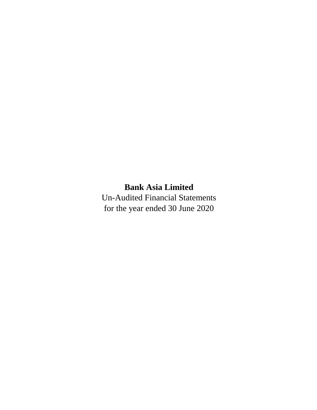# **Bank Asia Limited**

Un-Audited Financial Statements for the year ended 30 June 2020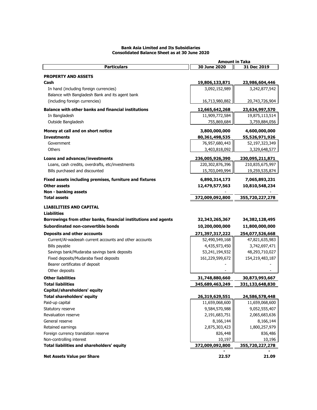|                                                                | <b>Amount in Taka</b> |                 |
|----------------------------------------------------------------|-----------------------|-----------------|
| <b>Particulars</b>                                             | 30 June 2020          | 31 Dec 2019     |
|                                                                |                       |                 |
| <b>PROPERTY AND ASSETS</b>                                     |                       |                 |
| Cash                                                           | 19,806,133,871        | 23,986,604,446  |
| In hand (including foreign currencies)                         | 3,092,152,989         | 3,242,877,542   |
| Balance with Bangladesh Bank and its agent bank                |                       |                 |
| (including foreign currencies)                                 | 16,713,980,882        | 20,743,726,904  |
| <b>Balance with other banks and financial institutions</b>     | 12,665,642,268        | 23,634,997,570  |
| In Bangladesh                                                  | 11,909,772,584        | 19,875,113,514  |
| Outside Bangladesh                                             | 755,869,684           | 3,759,884,056   |
|                                                                |                       |                 |
| Money at call and on short notice                              | 3,800,000,000         | 4,600,000,000   |
| <b>Investments</b>                                             | 80,361,498,535        | 55,526,971,926  |
| Government                                                     | 76,957,680,443        | 52,197,323,349  |
| Others                                                         | 3,403,818,092         | 3,329,648,577   |
| Loans and advances/investments                                 | 236,005,926,390       | 230,095,211,871 |
| Loans, cash credits, overdrafts, etc/investments               | 220,302,876,396       | 210,835,675,997 |
| Bills purchased and discounted                                 | 15,703,049,994        | 19,259,535,874  |
|                                                                |                       |                 |
| Fixed assets including premises, furniture and fixtures        | 6,890,314,173         | 7,065,893,231   |
| <b>Other assets</b>                                            | 12,479,577,563        | 10,810,548,234  |
| Non - banking assets                                           |                       |                 |
| <b>Total assets</b>                                            | 372,009,092,800       | 355,720,227,278 |
| <b>LIABILITIES AND CAPITAL</b>                                 |                       |                 |
| <b>Liabilities</b>                                             |                       |                 |
| Borrowings from other banks, financial institutions and agents | 32,343,265,367        | 34,382,128,495  |
| Subordinated non-convertible bonds                             | 10,200,000,000        | 11,800,000,000  |
|                                                                |                       |                 |
| <b>Deposits and other accounts</b>                             | 271,397,317,222       | 254,077,526,668 |
| Current/Al-wadeeah current accounts and other accounts         | 52,490,549,168        | 47,821,635,983  |
| Bills payable                                                  | 4,435,973,450         | 3,742,697,471   |
| Savings bank/Mudaraba savings bank deposits                    | 53,241,194,932        | 48,293,710,027  |
| Fixed deposits/Mudaraba fixed deposits                         | 161,229,599,672       | 154,219,483,187 |
| Bearer certificates of deposit                                 |                       |                 |
| Other deposits                                                 |                       |                 |
| <b>Other liabilities</b>                                       | 31,748,880,660        | 30,873,993,667  |
| <b>Total liabilities</b>                                       | 345,689,463,249       | 331,133,648,830 |
| Capital/shareholders' equity                                   |                       |                 |
| <b>Total shareholders' equity</b>                              | 26,319,629,551        | 24,586,578,448  |
| Paid-up capital                                                | 11,659,068,600        | 11,659,068,600  |
| Statutory reserve                                              | 9,584,570,988         | 9,052,555,407   |
| Revaluation reserve                                            | 2,191,683,751         | 2,065,683,636   |
| General reserve                                                | 8,166,144             | 8,166,144       |
| Retained earnings                                              | 2,875,303,423         | 1,800,257,979   |
| Foreign currency translation reserve                           | 826,448               | 836,486         |
| Non-controlling interest                                       | 10,197                | 10,196          |
| Total liabilities and shareholders' equity                     | 372,009,092,800       | 355,720,227,278 |
|                                                                |                       |                 |
| <b>Net Assets Value per Share</b>                              | 22.57                 | 21.09           |

#### **Bank Asia Limited and Its Subsidiaries Consolidated Balance Sheet as at 30 June 2020**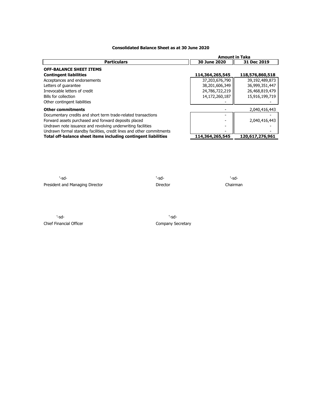# **Consolidated Balance Sheet as at 30 June 2020**

|                                                                       | <b>Amount in Taka</b> |                 |
|-----------------------------------------------------------------------|-----------------------|-----------------|
| <b>Particulars</b>                                                    | 30 June 2020          | 31 Dec 2019     |
| <b>OFF-BALANCE SHEET ITEMS</b>                                        |                       |                 |
| <b>Contingent liabilities</b>                                         | 114,364,265,545       | 118,576,860,518 |
| Acceptances and endorsements                                          | 37,203,676,790        | 39,192,489,873  |
| Letters of quarantee                                                  | 38,201,606,349        | 36,999,351,447  |
| Irrevocable letters of credit                                         | 24,786,722,219        | 26,468,819,479  |
| Bills for collection                                                  | 14,172,260,187        | 15,916,199,719  |
| Other contingent liabilities                                          |                       |                 |
| <b>Other commitments</b>                                              |                       | 2,040,416,443   |
| Documentary credits and short term trade-related transactions         |                       |                 |
| Forward assets purchased and forward deposits placed                  |                       | 2,040,416,443   |
| Undrawn note issuance and revolving underwriting facilities           |                       |                 |
| Undrawn formal standby facilities, credit lines and other commitments |                       |                 |
| Total off-balance sheet items including contingent liabilities        | 114,364,265,545       | 120,617,276,961 |

'-sd- '-sd- '-sd-President and Managing Director **Director** Director **Director** Chairman

'-sd- '-sd-Chief Financial Officer Chief Financial Officer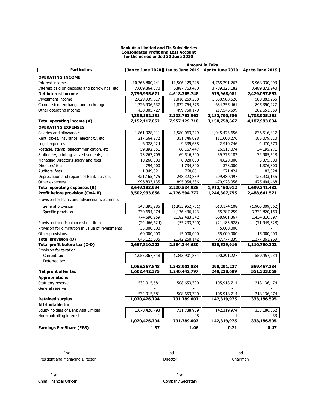#### **Bank Asia Limited and Its Subsidiaries Consolidated Profit and Loss Account for the period ended 30 June 2020**

|                                                  | <b>Amount in Taka</b> |                                   |                |                                     |  |  |  |
|--------------------------------------------------|-----------------------|-----------------------------------|----------------|-------------------------------------|--|--|--|
| <b>Particulars</b>                               |                       | Jan to June 2020 Jan to June 2019 |                | Apr to June 2020   Apr to June 2019 |  |  |  |
| <b>OPERATING INCOME</b>                          |                       |                                   |                |                                     |  |  |  |
| Interest income                                  | 10,366,800,241        | 11,506,129,228                    | 4,765,291,263  | 5,968,930,093                       |  |  |  |
| Interest paid on deposits and borrowings, etc    | 7,609,864,570         | 6,887,763,480                     | 3,789,323,182  | 3,489,872,240                       |  |  |  |
| <b>Net interest income</b>                       | 2,756,935,671         | 4,618,365,748                     | 975,968,081    | 2,479,057,853                       |  |  |  |
| Investment income                                | 2,629,939,817         | 1,016,259,208                     | 1,330,988,526  | 580,883,265                         |  |  |  |
| Commission, exchange and brokerage               | 1,326,936,637         | 1,822,754,575                     | 634,255,461    | 845,390,227                         |  |  |  |
| Other operating income                           | 438,305,727           | 499,750,179                       | 217,546,599    | 282,651,659                         |  |  |  |
|                                                  | 4,395,182,181         | 3,338,763,962                     | 2,182,790,586  | 1,708,925,151                       |  |  |  |
| Total operating income (A)                       | 7,152,117,852         | 7,957,129,710                     | 3,158,758,667  | 4,187,983,004                       |  |  |  |
| <b>OPERATING EXPENSES</b>                        |                       |                                   |                |                                     |  |  |  |
| Salaries and allowances                          |                       | 1,580,063,229                     |                | 836,516,817                         |  |  |  |
|                                                  | 1,861,928,911         |                                   | 1,045,473,656  |                                     |  |  |  |
| Rent, taxes, insurance, electricity, etc         | 217,664,272           | 351,746,098                       | 111,600,276    | 185,079,510                         |  |  |  |
| Legal expenses                                   | 6,028,924             | 9,339,638                         | 2,910,746      | 4,470,570                           |  |  |  |
| Postage, stamp, telecommunication, etc           | 59,892,551            | 66,167,447                        | 26,513,074     | 34,195,971                          |  |  |  |
| Stationery, printing, advertisements, etc        | 73,267,705            | 69,516,500                        | 39,775,183     | 32,905,518                          |  |  |  |
| Managing Director's salary and fees              | 10,260,000            | 6,920,000                         | 4,820,000      | 3,375,000                           |  |  |  |
| Directors' fees                                  | 794,000               | 1,734,800                         | 378,000        | 1,376,800                           |  |  |  |
| Auditors' fees                                   | 1,349,021             | 768,851                           | 571,424        | 83,624                              |  |  |  |
| Depreciation and repairs of Bank's assets        | 421,165,475           | 248,323,839                       | 209,480,497    | 125,933,155                         |  |  |  |
| Other expenses                                   | 996,833,135           | 895,954,536                       | 470,928,056    | 475,404,468                         |  |  |  |
| Total operating expenses (B)                     | 3,649,183,994         | 3,230,534,938                     | 1,912,450,912  | 1,699,341,432                       |  |  |  |
| Profit before provision (C=A-B)                  | 3,502,933,858         | 4,726,594,772                     | 1,246,307,755  | 2,488,641,571                       |  |  |  |
| Provision for loans and advances/investments     |                       |                                   |                |                                     |  |  |  |
|                                                  | 543,895,285           | (1,953,952,781)                   |                | (1,900,009,562)                     |  |  |  |
| General provision                                |                       |                                   | 613,174,108    |                                     |  |  |  |
| Specific provision                               | 230,694,974           | 4,136,436,123                     | 55,787,259     | 3,334,820,159                       |  |  |  |
|                                                  | 774,590,259           | 2,182,483,342                     | 668,961,367    | 1,434,810,597                       |  |  |  |
| Provision for off-balance sheet items            | (24, 466, 624)        | (55, 233, 200)                    | (21, 183, 528) | (71, 949, 328)                      |  |  |  |
| Provision for diminution in value of investments | 35,000,000            |                                   | 5,000,000      |                                     |  |  |  |
| Other provisions                                 | 60,000,000            | 15,000,000                        | 55,000,000     | 15,000,000                          |  |  |  |
| <b>Total provision (D)</b>                       | 845,123,635           | 2,142,250,142                     | 707,777,839    | 1,377,861,269                       |  |  |  |
| Total profit before tax (C-D)                    | 2,657,810,223         | 2,584,344,630                     | 538,529,916    | 1,110,780,302                       |  |  |  |
| Provision for taxation                           |                       |                                   |                |                                     |  |  |  |
| Current tax                                      | 1,055,367,848         | 1,343,901,834                     | 290,291,227    | 559,457,234                         |  |  |  |
| Deferred tax                                     |                       |                                   |                |                                     |  |  |  |
|                                                  | 1,055,367,848         | 1,343,901,834                     | 290,291,227    | 559,457,234                         |  |  |  |
| Net profit after tax                             | 1,602,442,375         | 1,240,442,797                     | 248,238,689    | 551,323,069                         |  |  |  |
| <b>Appropriations</b>                            |                       |                                   |                |                                     |  |  |  |
| Statutory reserve                                | 532,015,581           | 508,653,790                       | 105,918,714    | 218,136,474                         |  |  |  |
| General reserve                                  |                       |                                   |                |                                     |  |  |  |
|                                                  | 532,015,581           | 508,653,790                       | 105,918,714    | 218,136,474                         |  |  |  |
| <b>Retained surplus</b>                          | 1,070,426,794         | 731,789,007                       | 142,319,975    | 333,186,595                         |  |  |  |
| <b>Attributable to:</b>                          |                       |                                   |                |                                     |  |  |  |
| Equity holders of Bank Asia Limited              | 1,070,426,793         | 731,788,959                       | 142,319,974    | 333,186,562                         |  |  |  |
| Non-controlling interest                         | 1.                    | 48                                | 1              | 33                                  |  |  |  |
|                                                  | 1,070,426,794         | 731,789,007                       | 142,319,975    | 333,186,595                         |  |  |  |
| <b>Earnings Per Share (EPS)</b>                  | 1.37                  | 1.06                              | 0.21           | 0.47                                |  |  |  |
|                                                  |                       |                                   |                |                                     |  |  |  |

'-sd- '-sd- '-sd-President and Managing Director **Chairman** Director Director Director Chairman

'-sd- '-sd-

Chief Financial Officer Company Secretary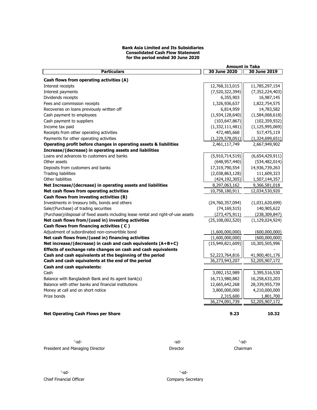#### **Bank Asia Limited and Its Subsidiaries Consolidated Cash Flow Statement for the period ended 30 June 2020**

|                                                                                                |                  | <b>Amount in Taka</b> |                    |  |
|------------------------------------------------------------------------------------------------|------------------|-----------------------|--------------------|--|
| <b>Particulars</b>                                                                             |                  | 30 June 2020          | 30 June 2019       |  |
| Cash flows from operating activities (A)                                                       |                  |                       |                    |  |
| Interest receipts                                                                              |                  | 12,768,313,015        | 11,785,297,154     |  |
| Interest payments                                                                              |                  | (7,520,322,394)       | (7, 352, 224, 403) |  |
| Dividends receipts                                                                             |                  | 6,355,903             | 16,987,145         |  |
| Fees and commission receipts                                                                   |                  | 1,326,936,637         | 1,822,754,575      |  |
| Recoveries on loans previously written off                                                     |                  | 6,814,959             | 14,783,582         |  |
| Cash payment to employees                                                                      |                  | (1,934,128,640)       | (1,584,068,618)    |  |
| Cash payment to suppliers                                                                      |                  | (103, 647, 867)       | (102, 359, 932)    |  |
| Income tax paid                                                                                |                  | (1,332,111,481)       | (1, 125, 995, 069) |  |
| Receipts from other operating activities                                                       |                  | 472,485,668           | 517,475,119        |  |
| Payments for other operating activities                                                        |                  | (1,229,578,051)       | (1,324,699,651)    |  |
| Operating profit before changes in operating assets & liabilities                              |                  | 2,461,117,749         | 2,667,949,902      |  |
| Increase/(decrease) in operating assets and liabilities                                        |                  |                       |                    |  |
| Loans and advances to customers and banks                                                      |                  | (5,910,714,519)       | (6,654,429,911)    |  |
| Other assets                                                                                   |                  | (648, 957, 440)       | (534, 482, 014)    |  |
| Deposits from customers and banks                                                              |                  | 17,319,790,554        | 14,936,739,263     |  |
| <b>Trading liabilities</b>                                                                     |                  | (2,038,863,128)       | 111,609,323        |  |
| Other liabilities                                                                              |                  | (424, 192, 305)       | 1,507,144,357      |  |
| Net Increase/(decrease) in operating assets and liabilities                                    |                  | 8,297,063,162         | 9,366,581,018      |  |
| Net cash flows from operating activities                                                       |                  | 10,758,180,911        | 12,034,530,920     |  |
| Cash flows from investing activities (B)                                                       |                  |                       |                    |  |
| Investments in treasury bills, bonds and others                                                |                  | (24,760,357,094)      | (1,031,620,699)    |  |
| Sale/(Purchase) of trading securities                                                          |                  | (74, 169, 515)        | 140,905,622        |  |
|                                                                                                |                  |                       |                    |  |
| (Purchase)/disposal of fixed assets including lease rental and right-of-use assets             |                  | (273, 475, 911)       | (238, 309, 847)    |  |
| Net cash flows from/(used in) investing activities<br>Cash flows from financing activities (C) |                  | (25, 108, 002, 520)   | (1, 129, 024, 924) |  |
|                                                                                                |                  |                       |                    |  |
| Adjustment of subordinated non-convertible bond                                                |                  | (1,600,000,000)       | (600,000,000)      |  |
| Net cash flows from/(used in) financing activities                                             |                  | (1,600,000,000)       | (600,000,000)      |  |
| Net increase/(decrease) in cash and cash equivalents (A+B+C)                                   |                  | (15,949,821,609)      | 10,305,505,996     |  |
| Effects of exchange rate changes on cash and cash equivalents                                  |                  |                       |                    |  |
| Cash and cash equivalents at the beginning of the period                                       |                  | 52,223,764,816        | 41,900,401,176     |  |
| Cash and cash equivalents at the end of the period                                             |                  | 36,273,943,207        | 52,205,907,172     |  |
| Cash and cash equivalents:                                                                     |                  |                       |                    |  |
| Cash                                                                                           |                  | 3,092,152,989         | 3,395,516,530      |  |
| Balance with Bangladesh Bank and its agent bank(s)                                             |                  | 16,713,980,882        | 16,258,633,203     |  |
| Balance with other banks and financial institutions                                            |                  | 12,665,642,268        | 28,339,955,739     |  |
| Money at call and on short notice                                                              |                  | 3,800,000,000         | 4,210,000,000      |  |
| Prize bonds                                                                                    |                  | 2,315,600             | 1,801,700          |  |
|                                                                                                |                  | 36,274,091,739        | 52,205,907,172     |  |
| <b>Net Operating Cash Flows per Share</b>                                                      |                  | 9.23                  | 10.32              |  |
| '-sd-<br>President and Managing Director                                                       | -sd-<br>Director | '-sd-<br>Chairman     |                    |  |
|                                                                                                |                  |                       |                    |  |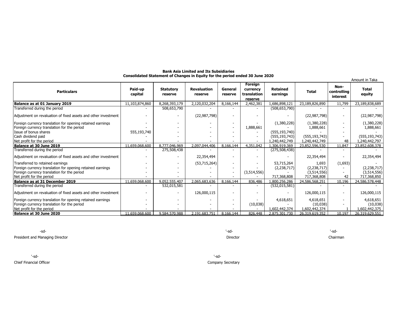| <b>Bank Asia Limited and Its Subsidiaries</b>                                 |  |
|-------------------------------------------------------------------------------|--|
| Consolidated Statement of Changes in Equity for the period ended 30 June 2020 |  |

|                                                                |                    |                             |                               |                          |                                               |                             |                 | Amount in Taka                  |                        |
|----------------------------------------------------------------|--------------------|-----------------------------|-------------------------------|--------------------------|-----------------------------------------------|-----------------------------|-----------------|---------------------------------|------------------------|
| <b>Particulars</b>                                             | Paid-up<br>capital | <b>Statutory</b><br>reserve | <b>Revaluation</b><br>reserve | General<br>reserve       | Foreign<br>currency<br>translation<br>reserve | <b>Retained</b><br>earnings | <b>Total</b>    | Non-<br>controlling<br>interest | <b>Total</b><br>equity |
| Balance as at 01 January 2019                                  | 11,103,874,860     | 8,268,393,179               | 2,120,032,204                 | 8,166,144                | 2,462,381                                     | 1,686,898,121               | 23,189,826,890  | 11,799                          | 23,189,838,689         |
| Transferred during the period                                  |                    | 508,653,790                 |                               |                          |                                               | (508, 653, 790)             |                 |                                 |                        |
| Adjustment on revaluation of fixed assets and other investment |                    |                             | (22, 987, 798)                |                          |                                               |                             | (22, 987, 798)  |                                 | (22, 987, 798)         |
| Foreign currency translation for opening retained earnings     |                    |                             |                               |                          |                                               | (1,380,228)                 | (1,380,228)     | $\overline{\phantom{a}}$        | (1,380,228)            |
| Foreign currency translation for the period                    |                    |                             |                               |                          | 1,888,661                                     |                             | 1,888,661       |                                 | 1,888,661              |
| Issue of bonus shares                                          | 555,193,740        |                             |                               |                          |                                               | (555, 193, 740)             |                 |                                 |                        |
| Cash dividend paid                                             |                    |                             |                               |                          |                                               | (555,193,743)               | (555, 193, 743) |                                 | (555, 193, 743)        |
| Net profit for the period                                      |                    |                             |                               |                          |                                               | 1,240,442,749               | 1,240,442,749   | 48                              | 1,240,442,797          |
| Balance at 30 June 2019                                        | 11,659,068,600     | 8,777,046,969               | 2,097,044,406                 | 8,166,144                | 4.351.042                                     | 1,306,919,369               | 23,852,596,530  | 11,847                          | 23,852,608,378         |
| Transferred during the period                                  |                    | 275,508,438                 |                               |                          | $\sim$                                        | (275,508,438)               |                 |                                 |                        |
| Adjustment on revaluation of fixed assets and other investment |                    |                             | 22,354,494                    |                          |                                               |                             | 22,354,494      |                                 | 22,354,494             |
| Transferred to retained earnings                               |                    |                             | (53,715,264)                  | $\overline{\phantom{a}}$ |                                               | 53,715,264                  | 1,693           | (1,693)                         |                        |
| Foreign currency translation for opening retained earnings     |                    |                             |                               |                          |                                               | (2, 238, 717)               | (2, 238, 717)   |                                 | (2,238,717)            |
| Foreign currency translation for the period                    |                    |                             |                               | $\sim$                   | (3,514,556)                                   |                             | (3,514,556)     |                                 | (3,514,556)            |
| Net profit for the period                                      |                    |                             |                               |                          |                                               | 717,368,808                 | 717,368,808     | 42                              | 717,368,850            |
| Balance as at 31 December 2019                                 | 11,659,068,600     | 9,052,555,407               | 2,065,683,636                 | 8,166,144                | 836,486                                       | 1,800,256,286               | 24,586,568,251  | 10,196                          | 24,586,578,448         |
| Transferred during the period                                  |                    | 532,015,581                 |                               |                          |                                               | (532, 015, 581)             |                 |                                 |                        |
| Adjustment on revaluation of fixed assets and other investment |                    |                             | 126,000,115                   |                          |                                               |                             | 126,000,115     | $\overline{\phantom{a}}$        | 126,000,115            |
| Foreign currency translation for opening retained earnings     |                    |                             |                               |                          |                                               | 4,618,651                   | 4,618,651       |                                 | 4,618,651              |
| Foreign currency translation for the period                    |                    |                             |                               |                          | (10,038)                                      |                             | (10,038)        |                                 | (10,038)               |
| Net profit for the period                                      |                    |                             |                               |                          |                                               | 1,602,442,374               | 1,602,442,374   |                                 | 1,602,442,375          |
| Balance at 30 June 2020                                        | 11.659.068.600     | 9.584.570.988               | 2.191.683.751                 | 8.166.144                | 826,448                                       | 2,875,301,730               | 26.319.619.352  | 10.197                          | 26.319.629.551         |

-sd- '-sd- '-sd-President and Managing Director Chairman

'-sd- '-sd-Chief Financial Officer Chief Financial Officer Company Secretary Company Secretary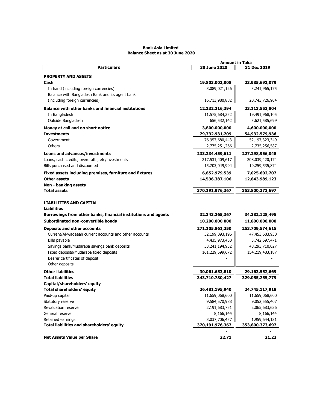#### **Bank Asia Limited Balance Sheet as at 30 June 2020**

|                                                                | <b>Amount in Taka</b> |                 |  |
|----------------------------------------------------------------|-----------------------|-----------------|--|
| <b>Particulars</b>                                             | 30 June 2020          | 31 Dec 2019     |  |
| <b>PROPERTY AND ASSETS</b>                                     |                       |                 |  |
| Cash                                                           | 19,803,002,008        | 23,985,692,079  |  |
| In hand (including foreign currencies)                         | 3,089,021,126         | 3,241,965,175   |  |
| Balance with Bangladesh Bank and its agent bank                |                       |                 |  |
| (including foreign currencies)                                 | 16,713,980,882        | 20,743,726,904  |  |
| <b>Balance with other banks and financial institutions</b>     | 12,232,216,394        | 23,113,553,804  |  |
| In Bangladesh                                                  | 11,575,684,252        | 19,491,968,105  |  |
| Outside Bangladesh                                             | 656,532,142           | 3,621,585,699   |  |
| Money at call and on short notice                              | 3,800,000,000         | 4,600,000,000   |  |
| <b>Investments</b>                                             | 79,732,931,709        | 54,932,579,936  |  |
| Government                                                     | 76,957,680,443        | 52,197,323,349  |  |
| Others                                                         | 2,775,251,266         | 2,735,256,587   |  |
| Loans and advances/investments                                 | 233,234,459,611       | 227,298,956,048 |  |
| Loans, cash credits, overdrafts, etc/investments               | 217,531,409,617       | 208,039,420,174 |  |
| Bills purchased and discounted                                 | 15,703,049,994        | 19,259,535,874  |  |
| Fixed assets including premises, furniture and fixtures        | 6,852,979,539         | 7,025,602,707   |  |
| <b>Other assets</b>                                            | 14,536,387,106        | 12,843,989,123  |  |
| Non - banking assets                                           |                       |                 |  |
| <b>Total assets</b>                                            | 370,191,976,367       | 353,800,373,697 |  |
|                                                                |                       |                 |  |
| <b>LIABILITIES AND CAPITAL</b>                                 |                       |                 |  |
| <b>Liabilities</b>                                             |                       |                 |  |
| Borrowings from other banks, financial institutions and agents | 32,343,265,367        | 34,382,128,495  |  |
| Subordinated non-convertible bonds                             | 10,200,000,000        | 11,800,000,000  |  |
| <b>Deposits and other accounts</b>                             | 271,105,861,250       | 253,709,574,615 |  |
| Current/Al-wadeeah current accounts and other accounts         | 52,199,093,196        | 47,453,683,930  |  |
| Bills payable                                                  | 4,435,973,450         | 3,742,697,471   |  |
| Savings bank/Mudaraba savings bank deposits                    | 53,241,194,932        | 48,293,710,027  |  |
| Fixed deposits/Mudaraba fixed deposits                         | 161,229,599,672       | 154,219,483,187 |  |
| Bearer certificates of deposit                                 |                       |                 |  |
| Other deposits                                                 |                       |                 |  |
| <b>Other liabilities</b>                                       | 30,061,653,810        | 29,163,552,669  |  |
| <b>Total liabilities</b>                                       | 343,710,780,427       | 329,055,255,779 |  |
| Capital/shareholders' equity                                   |                       |                 |  |
| <b>Total shareholders' equity</b>                              | 26,481,195,940        | 24,745,117,918  |  |
| Paid-up capital                                                | 11,659,068,600        | 11,659,068,600  |  |
| Statutory reserve                                              | 9,584,570,988         | 9,052,555,407   |  |
| Revaluation reserve                                            | 2,191,683,751         | 2,065,683,636   |  |
| General reserve                                                | 8,166,144             | 8,166,144       |  |
| Retained earnings                                              | 3,037,706,457         | 1,959,644,131   |  |
| <b>Total liabilities and shareholders' equity</b>              | 370,191,976,367       | 353,800,373,697 |  |
|                                                                |                       |                 |  |
| <b>Net Assets Value per Share</b>                              | 22.71                 | 21.22           |  |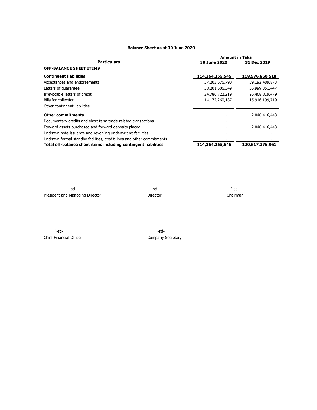# **Balance Sheet as at 30 June 2020**

|                                                                       | <b>Amount in Taka</b>       |                 |  |  |
|-----------------------------------------------------------------------|-----------------------------|-----------------|--|--|
| <b>Particulars</b>                                                    | 30 June 2020<br>31 Dec 2019 |                 |  |  |
| <b>OFF-BALANCE SHEET ITEMS</b>                                        |                             |                 |  |  |
| <b>Contingent liabilities</b>                                         | 114,364,265,545             | 118,576,860,518 |  |  |
| Acceptances and endorsements                                          | 37,203,676,790              | 39,192,489,873  |  |  |
| Letters of guarantee                                                  | 38,201,606,349              | 36,999,351,447  |  |  |
| Irrevocable letters of credit                                         | 24,786,722,219              | 26,468,819,479  |  |  |
| Bills for collection                                                  | 14,172,260,187              | 15,916,199,719  |  |  |
| Other contingent liabilities                                          |                             |                 |  |  |
| <b>Other commitments</b>                                              |                             | 2,040,416,443   |  |  |
| Documentary credits and short term trade-related transactions         | $\overline{\phantom{0}}$    |                 |  |  |
| Forward assets purchased and forward deposits placed                  |                             | 2,040,416,443   |  |  |
| Undrawn note issuance and revolving underwriting facilities           |                             |                 |  |  |
| Undrawn formal standby facilities, credit lines and other commitments |                             |                 |  |  |
| Total off-balance sheet items including contingent liabilities        | 114,364,265,545             | 120,617,276,961 |  |  |

-sd- -sd- '-sd-President and Managing Director **Director** Director **Director** Chairman

'-sd- '-sd-Chief Financial Officer Chief Financial Officer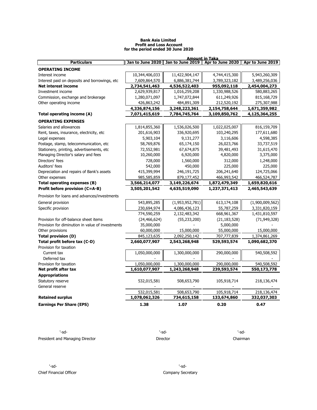#### **Bank Asia Limited Profit and Loss Account for the period ended 30 June 2020**

|                                                  |                |                                                                              | <b>Amount in Taka</b> |                 |
|--------------------------------------------------|----------------|------------------------------------------------------------------------------|-----------------------|-----------------|
| <b>Particulars</b>                               |                | Jan to June 2020    Jan to June 2019    Apr to June 2020    Apr to June 2019 |                       |                 |
| <b>OPERATING INCOME</b>                          |                |                                                                              |                       |                 |
| Interest income                                  | 10,344,406,033 | 11,422,904,147                                                               | 4,744,415,300         | 5,943,260,309   |
| Interest paid on deposits and borrowings, etc.   | 7,609,864,570  | 6,886,381,744                                                                | 3,789,323,182         | 3,489,256,036   |
| Net interest income                              | 2,734,541,463  | 4,536,522,403                                                                | 955,092,118           | 2,454,004,273   |
| Investment income                                | 2,629,939,817  | 1,016,259,208                                                                | 1,330,988,526         | 580,883,265     |
| Commission, exchange and brokerage               | 1,280,071,097  | 1,747,072,844                                                                | 611,249,926           | 815, 168, 729   |
| Other operating income                           | 426,863,242    | 484,891,309                                                                  | 212,520,192           | 275,307,988     |
|                                                  | 4,336,874,156  | 3,248,223,361                                                                | 2,154,758,644         | 1,671,359,982   |
| Total operating income (A)                       | 7,071,415,619  | 7,784,745,764                                                                | 3,109,850,762         | 4,125,364,255   |
| <b>OPERATING EXPENSES</b>                        |                |                                                                              |                       |                 |
| Salaries and allowances                          | 1,814,855,360  | 1,536,026,500                                                                | 1,022,025,007         | 816,159,709     |
| Rent, taxes, insurance, electricity, etc.        | 201,616,903    | 336,920,695                                                                  | 103,240,295           | 177,611,680     |
| Legal expenses                                   | 5,903,104      | 9,131,277                                                                    | 3,116,606             | 4,598,385       |
| Postage, stamp, telecommunication, etc           | 58,769,876     | 65,174,150                                                                   | 26,023,766            | 33,737,519      |
| Stationery, printing, advertisements, etc        | 72,552,981     | 67,674,875                                                                   | 39,481,493            | 31,615,470      |
| Managing Director's salary and fees              | 10,260,000     | 6,920,000                                                                    | 4,820,000             | 3,375,000       |
| Directors' fees                                  | 728,000        | 1,560,000                                                                    | 312,000               | 1,248,000       |
| Auditors' fees                                   | 542,000        | 450,000                                                                      | 225,000               | 225,000         |
| Depreciation and repairs of Bank's assets        | 415,399,994    | 246,191,725                                                                  | 206,241,640           | 124,725,066     |
| Other expenses                                   | 985,585,859    | 879,177,452                                                                  | 466,993,542           | 466,524,787     |
| Total operating expenses (B)                     | 3,566,214,077  | 3,149,226,674                                                                | 1,872,479,349         | 1,659,820,616   |
| Profit before provision (C=A-B)                  | 3,505,201,542  | 4,635,519,090                                                                | 1,237,371,413         | 2,465,543,639   |
| Provision for loans and advances/investments     |                |                                                                              |                       |                 |
| General provision                                | 543,895,285    | (1,953,952,781)                                                              | 613,174,108           | (1,900,009,562) |
| Specific provision                               | 230,694,974    | 4,086,436,123                                                                | 55,787,259            | 3,331,820,159   |
|                                                  | 774,590,259    | 2,132,483,342                                                                | 668,961,367           | 1,431,810,597   |
| Provision for off-balance sheet items            | (24, 466, 624) | (55, 233, 200)                                                               | (21, 183, 528)        | (71, 949, 328)  |
| Provision for diminution in value of investments | 35,000,000     |                                                                              | 5,000,000             |                 |
| Other provisions                                 | 60,000,000     | 15,000,000                                                                   | 55,000,000            | 15,000,000      |
| <b>Total provision (D)</b>                       | 845,123,635    | 2,092,250,142                                                                | 707,777,839           | 1,374,861,269   |
| Total profit before tax (C-D)                    | 2,660,077,907  | 2,543,268,948                                                                | 529,593,574           | 1,090,682,370   |
| Provision for taxation                           |                |                                                                              |                       |                 |
| Current tax                                      | 1,050,000,000  | 1,300,000,000                                                                | 290,000,000           | 540,508,592     |
| Deferred tax                                     |                |                                                                              |                       |                 |
| Provision for taxation                           | 1,050,000,000  | 1,300,000,000                                                                | 290,000,000           | 540,508,592     |
| Net profit after tax                             | 1,610,077,907  | 1,243,268,948                                                                | 239,593,574           | 550,173,778     |
| <b>Appropriations</b>                            |                |                                                                              |                       |                 |
| Statutory reserve                                | 532,015,581    | 508,653,790                                                                  | 105,918,714           | 218,136,474     |
| General reserve                                  |                |                                                                              |                       |                 |
|                                                  | 532,015,581    | 508,653,790                                                                  | 105,918,714           | 218,136,474     |
| <b>Retained surplus</b>                          | 1,078,062,326  | 734,615,158                                                                  | 133,674,860           | 332,037,303     |
| <b>Earnings Per Share (EPS)</b>                  | 1.38           | 1.07                                                                         | 0.20                  | 0.47            |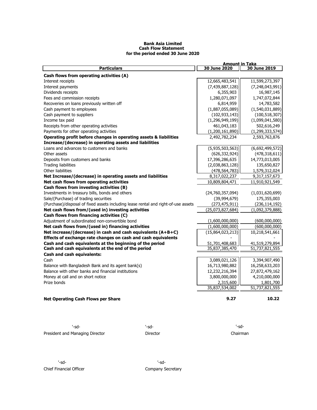#### **Bank Asia Limited Cash Flow Statement for the period ended 30 June 2020**

| <b>Particulars</b><br>Cash flows from operating activities (A)<br>Interest receipts<br>Interest payments<br>Dividends receipts<br>Fees and commission receipts | 30 June 2020<br>12,665,483,541<br>(7, 439, 887, 128)<br>6,355,903<br>1,280,071,097 | 30 June 2019<br>11,599,273,397 |
|----------------------------------------------------------------------------------------------------------------------------------------------------------------|------------------------------------------------------------------------------------|--------------------------------|
|                                                                                                                                                                |                                                                                    |                                |
|                                                                                                                                                                |                                                                                    |                                |
|                                                                                                                                                                |                                                                                    |                                |
|                                                                                                                                                                |                                                                                    | (7, 248, 043, 991)             |
|                                                                                                                                                                |                                                                                    | 16,987,145                     |
|                                                                                                                                                                |                                                                                    | 1,747,072,844                  |
| Recoveries on loans previously written off                                                                                                                     | 6,814,959                                                                          | 14,783,582                     |
| Cash payment to employees                                                                                                                                      | (1,887,055,089)                                                                    | (1,540,031,889)                |
| Cash payment to suppliers                                                                                                                                      | (102, 933, 143)                                                                    | (100, 518, 307)                |
| Income tax paid                                                                                                                                                | (1, 296, 949, 199)                                                                 | (1,099,041,580)                |
| Receipts from other operating activities                                                                                                                       | 461,043,183                                                                        | 502,616,249                    |
| Payments for other operating activities                                                                                                                        | (1,200,161,890)                                                                    | (1, 299, 333, 574)             |
| Operating profit before changes in operating assets & liabilities                                                                                              | 2,492,782,234                                                                      | 2,593,763,876                  |
| Increase/(decrease) in operating assets and liabilities                                                                                                        |                                                                                    |                                |
| Loans and advances to customers and banks                                                                                                                      | (5,935,503,563)                                                                    | (6,692,499,572)                |
| Other assets                                                                                                                                                   | (626, 332, 924)                                                                    | (478, 318, 611)                |
| Deposits from customers and banks                                                                                                                              | 17,396,286,635                                                                     | 14,773,013,005                 |
| Trading liabilities                                                                                                                                            | (2,038,863,128)                                                                    | 135,650,827                    |
| Other liabilities                                                                                                                                              | (478, 564, 783)                                                                    | 1,579,312,024                  |
| Net Increase/(decrease) in operating assets and liabilities                                                                                                    | 8,317,022,237                                                                      | 9,317,157,673                  |
| Net cash flows from operating activities                                                                                                                       | 10,809,804,471                                                                     | 11,910,921,549                 |
| Cash flows from investing activities (B)                                                                                                                       |                                                                                    |                                |
| Investments in treasury bills, bonds and others                                                                                                                | (24,760,357,094)                                                                   | (1,031,620,699)                |
| Sale/(Purchase) of trading securities                                                                                                                          | (39,994,679)                                                                       | 175,355,003                    |
| (Purchase)/disposal of fixed assets including lease rental and right-of-use assets                                                                             | (273, 475, 911)                                                                    | (236, 114, 192)                |
| Net cash flows from/(used in) investing activities                                                                                                             | (25,073,827,684)                                                                   | (1,092,379,888)                |
| Cash flows from financing activities (C)                                                                                                                       |                                                                                    |                                |
| Adjustment of subordinated non-convertible bond                                                                                                                | (1,600,000,000)                                                                    | (600,000,000)                  |
| Net cash flows from/(used in) financing activities                                                                                                             | (1,600,000,000)                                                                    | (600,000,000)                  |
| Net increase/(decrease) in cash and cash equivalents (A+B+C)                                                                                                   | (15,864,023,213)                                                                   | 10,218,541,661                 |
| Effects of exchange rate changes on cash and cash equivalents                                                                                                  |                                                                                    |                                |
| Cash and cash equivalents at the beginning of the period                                                                                                       | 51,701,408,683                                                                     | 41,519,279,894                 |
| Cash and cash equivalents at the end of the period                                                                                                             | 35,837,385,470                                                                     | 51,737,821,555                 |
| <b>Cash and cash equivalents:</b>                                                                                                                              |                                                                                    |                                |
| Cash                                                                                                                                                           | 3,089,021,126                                                                      | 3,394,907,490                  |
| Balance with Bangladesh Bank and its agent bank(s)                                                                                                             | 16,713,980,882                                                                     | 16,258,633,203                 |
| Balance with other banks and financial institutions                                                                                                            | 12,232,216,394                                                                     | 27,872,479,162                 |
| Money at call and on short notice                                                                                                                              | 3,800,000,000                                                                      | 4,210,000,000                  |
| Prize bonds                                                                                                                                                    | 2,315,600                                                                          | 1,801,700                      |
|                                                                                                                                                                | 35,837,534,002                                                                     | 51,737,821,555                 |
| <b>Net Operating Cash Flows per Share</b>                                                                                                                      | 9.27                                                                               | 10.22                          |

| '-sd-                           | -sd-     | '-sd-    |
|---------------------------------|----------|----------|
| President and Managing Director | Director | Chairman |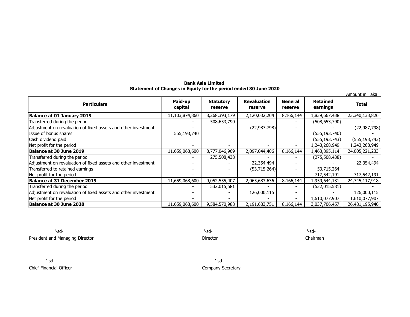# **Bank Asia Limited Statement of Changes in Equity for the period ended 30 June 2020**

| Amount in Taka                                                 |                    |                             |                               |                    |                             |                 |  |  |
|----------------------------------------------------------------|--------------------|-----------------------------|-------------------------------|--------------------|-----------------------------|-----------------|--|--|
| <b>Particulars</b>                                             | Paid-up<br>capital | <b>Statutory</b><br>reserve | <b>Revaluation</b><br>reserve | General<br>reserve | <b>Retained</b><br>earnings | <b>Total</b>    |  |  |
| Balance at 01 January 2019                                     | 11,103,874,860     | 8,268,393,179               | 2,120,032,204                 | 8,166,144          | 1,839,667,438               | 23,340,133,826  |  |  |
| Transferred during the period                                  |                    | 508,653,790                 |                               |                    | (508, 653, 790)             |                 |  |  |
| Adjustment on revaluation of fixed assets and other investment |                    |                             | (22, 987, 798)                |                    |                             | (22, 987, 798)  |  |  |
| Issue of bonus shares                                          | 555,193,740        |                             |                               |                    | (555, 193, 740)             |                 |  |  |
| Cash dividend paid                                             |                    |                             |                               |                    | (555, 193, 743)             | (555, 193, 743) |  |  |
| Net profit for the period                                      |                    |                             |                               |                    | 1,243,268,949               | 1,243,268,949   |  |  |
| Balance at 30 June 2019                                        | 11,659,068,600     | 8,777,046,969               | 2,097,044,406                 | 8,166,144          | 1,463,895,114               | 24,005,221,233  |  |  |
| Transferred during the period                                  |                    | 275,508,438                 |                               |                    | (275,508,438)               |                 |  |  |
| Adjustment on revaluation of fixed assets and other investment |                    |                             | 22,354,494                    |                    |                             | 22,354,494      |  |  |
| Transferred to retained earnings                               |                    |                             | (53, 715, 264)                |                    | 53,715,264                  |                 |  |  |
| Net profit for the period                                      |                    |                             |                               |                    | 717,542,191                 | 717,542,191     |  |  |
| Balance at 31 December 2019                                    | 11,659,068,600     | 9,052,555,407               | 2,065,683,636                 | 8,166,144          | 1,959,644,131               | 24,745,117,918  |  |  |
| Transferred during the period                                  |                    | 532,015,581                 |                               |                    | (532, 015, 581)             |                 |  |  |
| Adjustment on revaluation of fixed assets and other investment |                    |                             | 126,000,115                   |                    |                             | 126,000,115     |  |  |
| Net profit for the period                                      |                    |                             |                               |                    | 1,610,077,907               | 1,610,077,907   |  |  |
| Balance at 30 June 2020                                        | 11,659,068,600     | 9,584,570,988               | 2,191,683,751                 | 8,166,144          | 3,037,706,457               | 26,481,195,940  |  |  |

'-sd- '-sd- '-sd-President and Managing Director **Director** Director **Director** Director **Director** Chairman

'-sd- '-sd-

Chief Financial Officer Company Secretary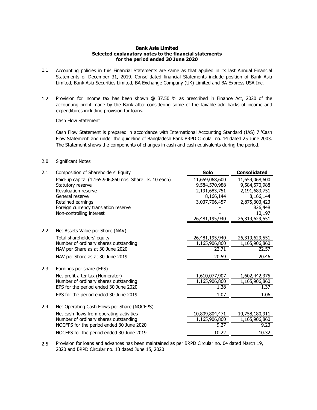# **Bank Asia Limited Selected explanatory notes to the financial statements for the period ended 30 June 2020**

- 1.1 Accounting policies in this Financial Statements are same as that applied in its last Annual Financial Statements of December 31, 2019. Consolidated financial Statements include position of Bank Asia Limited, Bank Asia Securities Limited, BA Exchange Company (UK) Limited and BA Express USA Inc.
- 1.2 Provision for income tax has been shown @ 37.50 % as prescribed in Finance Act, 2020 of the accounting profit made by the Bank after considering some of the taxable add backs of income and expenditures including provision for loans.

Cash Flow Statement

Cash Flow Statement is prepared in accordance with International Accounting Standard (IAS) 7 'Cash Flow Statement' and under the guideline of Bangladesh Bank BRPD Circular no. 14 dated 25 June 2003. The Statement shows the components of changes in cash and cash equivalents during the period.

# 2.0 Significant Notes

| 2.1 | Composition of Shareholders' Equity                              | Solo           | <b>Consolidated</b> |
|-----|------------------------------------------------------------------|----------------|---------------------|
|     | Paid-up capital (1,165,906,860 nos. Share Tk. 10 each)           | 11,659,068,600 | 11,659,068,600      |
|     | Statutory reserve                                                | 9,584,570,988  | 9,584,570,988       |
|     | Revaluation reserve                                              | 2,191,683,751  | 2,191,683,751       |
|     | General reserve                                                  | 8,166,144      | 8,166,144           |
|     | Retained earnings                                                | 3,037,706,457  | 2,875,303,423       |
|     | Foreign currency translation reserve<br>Non-controlling interest |                | 826,448<br>10,197   |
|     |                                                                  | 26,481,195,940 | 26,319,629,551      |
|     |                                                                  |                |                     |
| 2.2 | Net Assets Value per Share (NAV)                                 |                |                     |
|     | Total shareholders' equity                                       | 26,481,195,940 | 26,319,629,551      |
|     | Number of ordinary shares outstanding                            | 1,165,906,860  | 1,165,906,860       |
|     | NAV per Share as at 30 June 2020                                 | 22.71          | 22.57               |
|     | NAV per Share as at 30 June 2019                                 | 20.59          | 20.46               |
| 2.3 | Earnings per share (EPS)                                         |                |                     |
|     | Net profit after tax (Numerator)                                 | 1,610,077,907  | 1,602,442,375       |
|     | Number of ordinary shares outstanding                            | 1,165,906,860  | 1,165,906,860       |
|     | EPS for the period ended 30 June 2020                            | 1.38           | 1.37                |
|     | EPS for the period ended 30 June 2019                            | 1.07           | 1.06                |
| 2.4 | Net Operating Cash Flows per Share (NOCFPS)                      |                |                     |
|     | Net cash flows from operating activities                         | 10,809,804,471 | 10,758,180,911      |
|     | Number of ordinary shares outstanding                            | 1,165,906,860  | 1,165,906,860       |
|     | NOCFPS for the period ended 30 June 2020                         | 9.27           | 9.23                |
|     | NOCFPS for the period ended 30 June 2019                         | 10.22          | 10.32               |

2.5 Provision for loans and advances has been maintained as per BRPD Circular no. 04 dated March 19, 2020 and BRPD Circular no. 13 dated June 15, 2020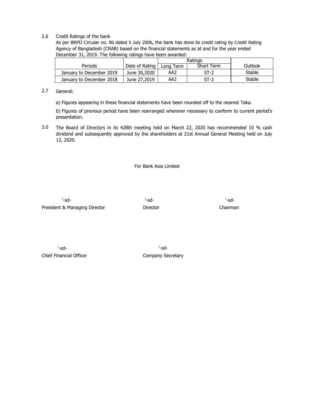# 2.6 Credit Ratings of the bank

As per BRPD Circular no. 06 dated 5 July 2006, the bank has done its credit rating by Credit Rating Agency of Bangladesh (CRAB) based on the financial statements as at and for the year ended December 31, 2019. The following ratings have been awarded:

|                          |                | Ratings   |            |         |
|--------------------------|----------------|-----------|------------|---------|
| Periods                  | Date of Rating | Lona Term | Short Term | Outlook |
| January to December 2019 | June 30,2020   | AA2       | $ST-2$     | Stable  |
| January to December 2018 | June 27,2019   | AA2       | $ST-2$     | Stable  |

#### 2.7 General:

a) Figures appearing in these financial statements have been rounded off to the nearest Taka.

b) Figures of previous period have been rearranged wherever necessary to conform to current period's presentation.

3.0 The Board of Directors in its 428th meeting held on March 22, 2020 has recommended 10 % cash dividend and subsequently approved by the shareholders at 21st Annual General Meeting held on July 12, 2020.

For Bank Asia Limited

'-sd- '-sd- '-sd-President & Managing Director **Director** Director Chairman

'-sd- '-sd-Chief Financial Officer Chief Financial Officer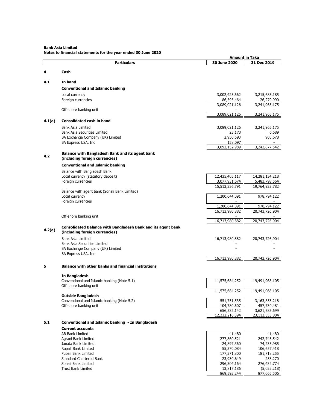**Bank Asia Limited**

**Notes to financial statements for the year ended 30 June 2020**

|        |                                                                                                | <b>Amount in Taka</b>           |                                 |  |
|--------|------------------------------------------------------------------------------------------------|---------------------------------|---------------------------------|--|
|        | <b>Particulars</b>                                                                             | 30 June 2020                    | 31 Dec 2019                     |  |
| 4      | Cash                                                                                           |                                 |                                 |  |
|        |                                                                                                |                                 |                                 |  |
| 4.1    | In hand                                                                                        |                                 |                                 |  |
|        | <b>Conventional and Islamic banking</b>                                                        |                                 |                                 |  |
|        | Local currency                                                                                 | 3,002,425,662                   | 3,215,685,185                   |  |
|        | Foreign currencies                                                                             | 86,595,464                      | 26,279,990                      |  |
|        |                                                                                                | 3,089,021,126                   | 3,241,965,175                   |  |
|        | Off-shore banking unit                                                                         | 3,089,021,126                   | 3,241,965,175                   |  |
| 4.1(a) | <b>Consolidated cash in hand</b>                                                               |                                 |                                 |  |
|        | Bank Asia Limited                                                                              | 3,089,021,126                   | 3,241,965,175                   |  |
|        | Bank Asia Securities Limited                                                                   | 23,173                          | 6,689                           |  |
|        | BA Exchange Company (UK) Limited                                                               | 2,950,593                       | 905,678                         |  |
|        | BA Express USA, Inc                                                                            | 158,097                         |                                 |  |
|        |                                                                                                | 3,092,152,989                   | 3,242,877,542                   |  |
| 4.2    | <b>Balance with Bangladesh Bank and its agent bank</b>                                         |                                 |                                 |  |
|        | (including foreign currencies)                                                                 |                                 |                                 |  |
|        | <b>Conventional and Islamic banking</b>                                                        |                                 |                                 |  |
|        | Balance with Bangladesh Bank                                                                   |                                 |                                 |  |
|        | Local currency (statutory deposit)<br>Foreign currencies                                       | 12,435,405,117<br>3,077,931,674 | 14,281,134,218<br>5,483,798,564 |  |
|        |                                                                                                | 15,513,336,791                  | 19,764,932,782                  |  |
|        | Balance with agent bank (Sonali Bank Limited)                                                  |                                 |                                 |  |
|        | Local currency                                                                                 | 1,200,644,091                   | 978,794,122                     |  |
|        | Foreign currencies                                                                             |                                 |                                 |  |
|        |                                                                                                | 1,200,644,091<br>16,713,980,882 | 978,794,122<br>20,743,726,904   |  |
|        | Off-shore banking unit                                                                         |                                 |                                 |  |
|        |                                                                                                | 16,713,980,882                  | 20,743,726,904                  |  |
| 4.2(a) | Consolidated Balance with Bangladesh Bank and its agent bank<br>(including foreign currencies) |                                 |                                 |  |
|        | <b>Bank Asia Limited</b>                                                                       | 16,713,980,882                  | 20,743,726,904                  |  |
|        | <b>Bank Asia Securities Limited</b>                                                            |                                 |                                 |  |
|        | BA Exchange Company (UK) Limited                                                               |                                 |                                 |  |
|        | BA Express USA, Inc                                                                            | 16,713,980,882                  | 20,743,726,904                  |  |
|        |                                                                                                |                                 |                                 |  |
| 5      | <b>Balance with other banks and financial institutions</b>                                     |                                 |                                 |  |
|        | In Bangladesh                                                                                  |                                 |                                 |  |
|        | Conventional and Islamic banking (Note 5.1)                                                    | 11,575,684,252                  | 19,491,968,105                  |  |
|        | Off-shore banking unit                                                                         |                                 |                                 |  |
|        | <b>Outside Bangladesh</b>                                                                      | 11,575,684,252                  | 19,491,968,105                  |  |
|        | Conventional and Islamic banking (Note 5.2)                                                    | 551,751,535                     | 3,163,855,218                   |  |
|        | Off-shore banking unit                                                                         | 104,780,607                     | 457,730,481                     |  |
|        |                                                                                                | 656,532,142                     | 3,621,585,699                   |  |
|        |                                                                                                | 12,232,216,394                  | 23,113,553,804                  |  |
| 5.1    | Conventional and Islamic banking - In Bangladesh                                               |                                 |                                 |  |
|        | <b>Current accounts</b>                                                                        |                                 |                                 |  |
|        | AB Bank Limited                                                                                | 41,480                          | 41,480                          |  |
|        | Agrani Bank Limited<br>Janata Bank Limited                                                     | 277,860,521<br>24,897,360       | 242,743,542<br>74,235,985       |  |
|        | Rupali Bank Limited                                                                            | 55,370,084                      | 106,657,418                     |  |
|        | Pubali Bank Limited                                                                            | 177,371,800                     | 181,718,255                     |  |
|        | <b>Standard Chartered Bank</b>                                                                 | 23,930,649                      | 258,270                         |  |
|        | Sonali Bank Limited                                                                            | 296,304,164                     | 276,432,774                     |  |
|        | Trust Bank Limited                                                                             | 13,817,186<br>869,593,244       | (5,022,218)<br>877,065,506      |  |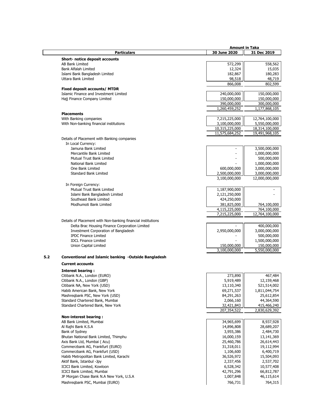|     |                                                              | <b>Amount in Taka</b> |                              |
|-----|--------------------------------------------------------------|-----------------------|------------------------------|
|     | <b>Particulars</b>                                           | 30 June 2020          | 31 Dec 2019                  |
|     | <b>Short- notice deposit accounts</b>                        |                       |                              |
|     | <b>AB Bank Limited</b>                                       | 572,299               | 558,562                      |
|     | <b>Bank Alfalah Limited</b>                                  | 12,324                | 15,035                       |
|     | Islami Bank Bangladesh Limited                               | 182,867               | 180,283                      |
|     | Uttara Bank Limited                                          | 98,518                | 48,719                       |
|     |                                                              | 866,008               | 802,599                      |
|     | <b>Fixed deposit accounts/ MTDR</b>                          |                       |                              |
|     | Islamic Finance and Investment Limited                       | 240,000,000           | 150,000,000                  |
|     | Hajj Finance Company Limited                                 | 150,000,000           | 150,000,000                  |
|     |                                                              | 390,000,000           | 300,000,000<br>1,177,868,105 |
|     | <b>Placements</b>                                            | 1,260,459,252         |                              |
|     | With Banking companies                                       | 7,215,225,000         | 12,764,100,000               |
|     | With Non-banking financial institutions                      | 3,100,000,000         | 5,550,000,000                |
|     |                                                              | 10,315,225,000        | 18,314,100,000               |
|     |                                                              | 11,575,684,252        | 19,491,968,105               |
|     | Details of Placement with Banking companies                  |                       |                              |
|     | In Local Currency:                                           |                       |                              |
|     | Jamuna Bank Limited                                          | ٠                     | 3,500,000,000                |
|     | Mercantile Bank Limited                                      |                       | 1,000,000,000                |
|     | Mutual Trust Bank Limited                                    |                       | 500,000,000                  |
|     | National Bank Limited                                        |                       | 1,000,000,000                |
|     | One Bank Limited                                             | 600,000,000           | 3,000,000,000                |
|     | Standard Bank Limited                                        | 2,500,000,000         | 3,000,000,000                |
|     |                                                              | 3,100,000,000         | 12,000,000,000               |
|     | In Foreign Currency:                                         |                       |                              |
|     | Mutual Trust Bank Limited                                    | 1,187,900,000         |                              |
|     | Islami Bank Bangladesh Limited                               | 2,121,250,000         |                              |
|     | Southeast Bank Limited                                       | 424,250,000           |                              |
|     | Modhumoti Bank Limited                                       | 381,825,000           | 764,100,000                  |
|     |                                                              | 4,115,225,000         | 764,100,000                  |
|     |                                                              | 7,215,225,000         | 12,764,100,000               |
|     | Details of Placement with Non-banking financial institutions |                       |                              |
|     | Delta Brac Housing Finance Corporation Limited               |                       | 400,000,000                  |
|     | <b>Investment Corporation of Bangladesh</b>                  | 2,950,000,000         | 3,000,000,000                |
|     | <b>IPDC Finance Limited</b>                                  |                       | 500,000,000                  |
|     | <b>IDCL Finance Limited</b>                                  |                       | 1,500,000,000                |
|     | <b>Union Capital Limited</b>                                 | 150,000,000           | 150,000,000                  |
|     |                                                              | 3,100,000,000         | 5,550,000,000                |
| 5.2 | Conventional and Islamic banking -Outside Bangladesh         |                       |                              |
|     | <b>Current accounts</b>                                      |                       |                              |
|     | <b>Interest bearing:</b>                                     |                       |                              |
|     | Citibank N.A., London (EURO)                                 | 273,890               | 467,484                      |
|     | Citibank N.A., London (GBP)                                  | 5,919,489             | 12,159,468                   |
|     | Citibank NA, New York (USD)                                  | 13,110,340            | 521,514,002                  |
|     | Habib American Bank, New York                                | 69,271,537            | 1,811,044,754                |
|     | Mashregbank PSC, New York (USD)                              | 84,291,263            | 25,612,854                   |
|     | Standard Chartered Bank, Mumbai                              | 2,066,160             | 44,364,590                   |
|     | Standard Chartered Bank, New York                            | 32,421,843            | 415,466,240                  |
|     |                                                              | 207,354,522           | 2,830,629,392                |
|     | <b>Non-interest bearing:</b>                                 |                       |                              |
|     | AB Bank Limited, Mumbai                                      | 34,965,699            | 8,937,928                    |
|     | Al Rajhi Bank K.S.A                                          | 14,896,808            | 28,689,207                   |
|     | Bank of Sydney                                               | 3,955,386             | 2,484,730                    |
|     | Bhutan National Bank Limited, Thimphu                        | 16,000,159            | 13,141,369                   |
|     | Axis Bank Ltd, Mumbai (Acu)                                  | 25,460,786            | 26,614,443                   |
|     | Commerzbank AG, Frankfurt (EURO)                             | 31,318,011            | 19,112,994                   |
|     | Commerzbank AG, Frankfurt (USD)                              | 1,106,600             | 6,400,719                    |
|     | Habib Metropolitan Bank Limited, Karachi                     | 36,526,972            | 15,504,093                   |
|     | Aktif Bank, Istanbul -Jpy                                    | 2,337,456             | 2,537,702                    |
|     | ICICI Bank Limited, Kowloon                                  | 6,528,342             | 10,577,408                   |
|     | ICICI Bank Limited, Mumbai                                   | 42,791,296            | 66,812,787                   |
|     | JP Morgan Chase Bank N.A New York, U.S.A                     | 1,007,848             | 46,115,614                   |
|     | Mashregbank PSC, Mumbai (EURO)                               | 766,731               | 764,315                      |
|     |                                                              |                       |                              |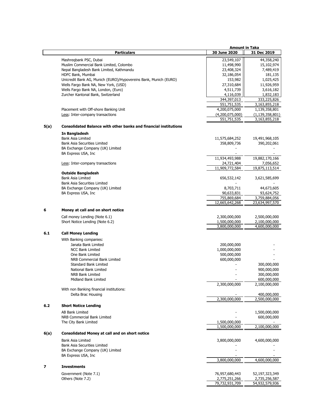|      |                                                                         | <b>Amount in Taka</b> |                    |
|------|-------------------------------------------------------------------------|-----------------------|--------------------|
|      | <b>Particulars</b>                                                      | 30 June 2020          | 31 Dec 2019        |
|      |                                                                         |                       |                    |
|      | Mashregbank PSC, Dubai                                                  | 23,549,107            | 44,358,240         |
|      | Muslim Commercial Bank Limited, Colombo                                 | 11,498,990            | 15,102,974         |
|      | Nepal Bangladesh Bank Limited, Kathmandu                                | 23,408,324            | 7,489,419          |
|      | HDFC Bank, Mumbai                                                       | 32,186,054            | 181,135            |
|      | Unicredit Bank AG, Munich (EURO)/Hypovereins Bank, Munich (EURO)        | 153,982               | 1,025,425          |
|      | Wells Fargo Bank NA, New York, (USD)                                    | 27,310,684            | 11,926,959         |
|      | Wells Fargo Bank NA, London, (Euro)                                     | 4,511,739             | 3,616,182          |
|      | Zurcher Kantonal Bank, Switzerland                                      | 4,116,039             | 1,832,183          |
|      |                                                                         | 344,397,013           | 333,225,826        |
|      |                                                                         | 551,751,535           | 3,163,855,218      |
|      | Placement with Off-shore Banking Unit                                   | 4,200,075,000         | 1,139,358,801      |
|      | Less: Inter-company transactions                                        | (4,200,075,000)       | (1, 139, 358, 801) |
|      |                                                                         | 551,751,535           | 3,163,855,218      |
|      |                                                                         |                       |                    |
| 5(a) | <b>Consolidated Balance with other banks and financial institutions</b> |                       |                    |
|      | In Bangladesh                                                           |                       |                    |
|      | <b>Bank Asia Limited</b>                                                | 11,575,684,252        | 19,491,968,105     |
|      |                                                                         |                       |                    |
|      | <b>Bank Asia Securities Limited</b>                                     | 358,809,736           | 390,202,061        |
|      | BA Exchange Company (UK) Limited                                        |                       |                    |
|      | BA Express USA, Inc                                                     |                       |                    |
|      |                                                                         | 11,934,493,988        | 19,882,170,166     |
|      | Less: Inter-company transactions                                        | 24,721,404            | 7,056,652          |
|      |                                                                         | 11,909,772,584        | 19,875,113,514     |
|      | <b>Outside Bangladesh</b>                                               |                       |                    |
|      | <b>Bank Asia Limited</b>                                                | 656,532,142           | 3,621,585,699      |
|      | <b>Bank Asia Securities Limited</b>                                     |                       |                    |
|      | BA Exchange Company (UK) Limited                                        | 8,703,711             | 44,673,605         |
|      | BA Express USA, Inc.                                                    | 90,633,831            | 93,624,752         |
|      |                                                                         | 755,869,684           | 3,759,884,056      |
|      |                                                                         | 12,665,642,268        |                    |
|      |                                                                         |                       | 23,634,997,570     |
| 6    | Money at call and on short notice                                       |                       |                    |
|      |                                                                         |                       |                    |
|      | Call money Lending (Note 6.1)                                           | 2,300,000,000         | 2,500,000,000      |
|      | Short Notice Lending (Note 6.2)                                         | 1,500,000,000         | 2,100,000,000      |
|      |                                                                         | 3,800,000,000         | 4,600,000,000      |
| 6.1  | <b>Call Money Lending</b>                                               |                       |                    |
|      | With Banking companies:                                                 |                       |                    |
|      | Janata Bank Limited                                                     | 200,000,000           |                    |
|      | <b>NCC Bank Limited</b>                                                 | 1,000,000,000         |                    |
|      |                                                                         |                       |                    |
|      | One Bank Limited                                                        | 500,000,000           |                    |
|      | NRB Commercial Bank Limited                                             | 600,000,000           |                    |
|      | <b>Standard Bank Limited</b>                                            |                       | 300,000,000        |
|      | National Bank Limited                                                   |                       | 900,000,000        |
|      | NRB Bank Limited                                                        |                       | 300,000,000        |
|      | Midland Bank Limited                                                    |                       | 600,000,000        |
|      |                                                                         | 2,300,000,000         | 2,100,000,000      |
|      | With non Banking financial institutions:                                |                       |                    |
|      | Delta Brac Housing                                                      |                       | 400,000,000        |
|      |                                                                         | 2,300,000,000         | 2,500,000,000      |
|      |                                                                         |                       |                    |
| 6.2  | <b>Short Notice Lending</b>                                             |                       |                    |
|      | <b>AB Bank Limited</b>                                                  |                       | 1,500,000,000      |
|      | NRB Commercial Bank Limited                                             |                       | 600,000,000        |
|      | The City Bank Limited                                                   | 1,500,000,000         |                    |
|      |                                                                         | 1,500,000,000         | 2,100,000,000      |
|      |                                                                         |                       |                    |
| 6(a) | <b>Consolidated Money at call and on short notice</b>                   |                       |                    |
|      | Bank Asia Limited                                                       | 3,800,000,000         | 4,600,000,000      |
|      | <b>Bank Asia Securities Limited</b>                                     |                       |                    |
|      | BA Exchange Company (UK) Limited                                        |                       |                    |
|      | BA Express USA, Inc.                                                    |                       |                    |
|      |                                                                         | 3,800,000,000         | 4,600,000,000      |
|      |                                                                         |                       |                    |
| 7    | <b>Investments</b>                                                      |                       |                    |
|      | Government (Note 7.1)                                                   | 76,957,680,443        | 52,197,323,349     |
|      | Others (Note 7.2)                                                       | 2,775,251,266         | 2,735,256,587      |
|      |                                                                         | 79,732,931,709        | 54,932,579,936     |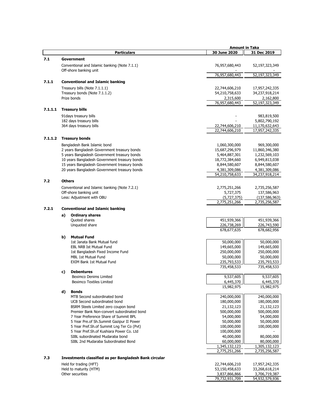|         |                                                                                     | <b>Amount in Taka</b>           |                                  |
|---------|-------------------------------------------------------------------------------------|---------------------------------|----------------------------------|
|         | <b>Particulars</b>                                                                  | 30 June 2020                    | 31 Dec 2019                      |
| 7.1     | Government                                                                          |                                 |                                  |
|         | Conventional and Islamic banking (Note 7.1.1)                                       | 76,957,680,443                  | 52,197,323,349                   |
|         | Off-shore banking unit                                                              |                                 |                                  |
|         |                                                                                     | 76,957,680,443                  | 52,197,323,349                   |
| 7.1.1   | <b>Conventional and Islamic banking</b>                                             |                                 |                                  |
|         | Treasury bills (Note 7.1.1.1)                                                       | 22,744,606,210                  | 17,957,242,335                   |
|         | Treasury bonds (Note 7.1.1.2)                                                       | 54,210,758,633                  | 34,237,918,214                   |
|         | Prize bonds                                                                         | 2,315,600                       | 2,162,800                        |
|         |                                                                                     | 76,957,680,443                  | 52,197,323,349                   |
| 7.1.1.1 | <b>Treasury bills</b>                                                               |                                 |                                  |
|         | 91 days treasury bills                                                              |                                 | 983,819,500                      |
|         | 182 days treasury bills                                                             |                                 | 5,802,790,192                    |
|         | 364 days treasury bills                                                             | 22,744,606,210                  | 11,170,632,643                   |
|         |                                                                                     | 22,744,606,210                  | 17,957,242,335                   |
| 7.1.1.2 | <b>Treasury bonds</b>                                                               |                                 |                                  |
|         | Bangladesh Bank Islamic bond                                                        | 1,060,300,000                   | 969,300,000                      |
|         | 2 years Bangladesh Government treasury bonds                                        | 15,687,296,979                  | 11,860,346,380                   |
|         | 5 years Bangladesh Government treasury bonds                                        | 5,464,887,301                   | 1,232,569,103                    |
|         | 10 years Bangladesh Government treasury bonds                                       | 18,772,384,660                  | 6,949,813,038                    |
|         | 15 years Bangladesh Government treasury bonds                                       | 8,844,580,607                   | 8,844,580,607                    |
|         | 20 years Bangladesh Government treasury bonds                                       | 4,381,309,086<br>54,210,758,633 | 4,381,309,086<br>34,237,918,214  |
|         |                                                                                     |                                 |                                  |
| 7.2     | <b>Others</b>                                                                       |                                 |                                  |
|         | Conventional and Islamic banking (Note 7.2.1)                                       | 2,775,251,266                   | 2,735,256,587                    |
|         | Off-shore banking unit                                                              | 5,727,375                       | 137,586,963                      |
|         | Less: Adjustment with OBU                                                           | (5,727,375)<br>2,775,251,266    | (137, 586, 963)<br>2,735,256,587 |
|         |                                                                                     |                                 |                                  |
| 7.2.1   | <b>Conventional and Islamic banking</b>                                             |                                 |                                  |
|         | <b>Ordinary shares</b><br>a)                                                        |                                 |                                  |
|         | Quoted shares<br>Unquoted share                                                     | 451,939,366<br>226,738,269      | 451,939,366<br>226,743,590       |
|         |                                                                                     | 678,677,635                     | 678,682,956                      |
|         | <b>Mutual Fund</b>                                                                  |                                 |                                  |
|         | b)<br>1st Janata Bank Mutual fund                                                   | 50,000,000                      | 50,000,000                       |
|         | <b>EBL NRB Ist Mutual Fund</b>                                                      | 149,665,000                     | 149,665,000                      |
|         | 1st Bangladesh Fixed Income Fund                                                    | 250,000,000                     | 250,000,000                      |
|         | MBL 1st Mutual Fund                                                                 | 50,000,000                      | 50,000,000                       |
|         | <b>EXIM Bank 1st Mutual Fund</b>                                                    | 235,793,533                     | 235,793,533                      |
|         |                                                                                     | 735,458,533                     | 735,458,533                      |
|         | c)<br><b>Debentures</b><br>Beximco Denims Limited                                   | 9,537,605                       | 9,537,605                        |
|         | <b>Beximco Textiles Limited</b>                                                     | 6,445,370                       | 6,445,370                        |
|         |                                                                                     | 15,982,975                      | 15,982,975                       |
|         | d)<br><b>Bonds</b>                                                                  |                                 |                                  |
|         | MTB Second subordinated bond                                                        | 240,000,000                     | 240,000,000                      |
|         | UCB Second subordinated bond                                                        | 180,000,000                     | 180,000,000                      |
|         | BSRM Steels Limited zero coupon bond                                                | 21,132,123                      | 21,132,123                       |
|         | Premier Bank Non-convert subordinated bond<br>7 Year Preference Share of Summit BPL | 500,000,000<br>54,000,000       | 500,000,000<br>54,000,000        |
|         | 5 Year Pre.of Sh.Summit Gazipur II Power                                            | 50,000,000                      | 50,000,000                       |
|         | 5 Year Pref.Sh.of Summit Lng Ter Co (Pvt)                                           | 100,000,000                     | 100,000,000                      |
|         | 5 Year Pref.Sh.of Kushiara Power Co. Ltd                                            | 100,000,000                     |                                  |
|         | SIBL subordinated Mudaraba bond                                                     | 40,000,000                      | 80,000,000                       |
|         | SIBL 2nd Mudaraba Subordinated Bond                                                 | 60,000,000                      | 80,000,000                       |
|         |                                                                                     | 1,345,132,123                   | 1,305,132,123                    |
|         |                                                                                     | 2,775,251,266                   | 2,735,256,587                    |
| 7.3     | <b>Investments classified as per Bangladesh Bank circular</b>                       |                                 |                                  |
|         | Held for trading (HFT)                                                              | 22,744,606,210                  | 17,957,242,335                   |
|         | Held to maturity (HTM)                                                              | 53,150,458,633                  | 33,268,618,214                   |
|         | Other securities                                                                    | 3,837,866,866                   | 3,706,719,387                    |

79,732,931,709 54,932,579,936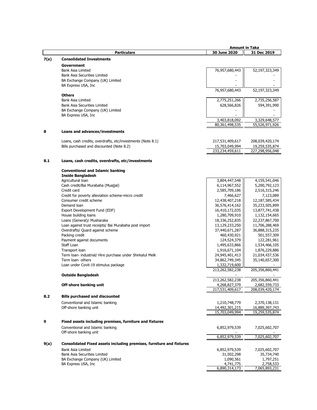|      |                                                                                | <b>Amount in Taka</b>           |                 |
|------|--------------------------------------------------------------------------------|---------------------------------|-----------------|
|      | <b>Particulars</b>                                                             | 30 June 2020                    | 31 Dec 2019     |
| 7(a) | <b>Consolidated Investments</b>                                                |                                 |                 |
|      | <b>Government</b>                                                              |                                 |                 |
|      | <b>Bank Asia Limited</b>                                                       | 76,957,680,443                  | 52,197,323,349  |
|      | <b>Bank Asia Securities Limited</b>                                            |                                 |                 |
|      | BA Exchange Company (UK) Limited                                               |                                 |                 |
|      | BA Express USA, Inc                                                            |                                 |                 |
|      |                                                                                | 76,957,680,443                  | 52,197,323,349  |
|      | <b>Others</b>                                                                  |                                 |                 |
|      | <b>Bank Asia Limited</b>                                                       | 2,775,251,266                   | 2,735,256,587   |
|      | <b>Bank Asia Securities Limited</b>                                            | 628,566,826                     | 594,391,990     |
|      | BA Exchange Company (UK) Limited                                               |                                 |                 |
|      | BA Express USA, Inc.                                                           |                                 |                 |
|      |                                                                                | 3,403,818,092                   | 3,329,648,577   |
|      |                                                                                | 80,361,498,535                  | 55,526,971,926  |
| 8    | Loans and advances/investments                                                 |                                 |                 |
|      |                                                                                |                                 |                 |
|      | Loans, cash credits, overdrafts, etc/investments (Note 8.1)                    | 217,531,409,617                 | 208,039,420,174 |
|      | Bills purchased and discounted (Note 8.2)                                      | 15,703,049,994                  | 19,259,535,874  |
|      |                                                                                | 233,234,459,611                 | 227,298,956,048 |
|      |                                                                                |                                 |                 |
| 8.1  | Loans, cash credits, overdrafts, etc/investments                               |                                 |                 |
|      |                                                                                |                                 |                 |
|      | <b>Conventional and Islamic banking</b>                                        |                                 |                 |
|      | <b>Inside Bangladesh</b>                                                       |                                 |                 |
|      | Agricultural loan                                                              | 3,804,447,548                   | 4,159,541,046   |
|      | Cash credit/Bai Murabaha (Muajjal)                                             | 6,114,967,552                   | 5,200,792,123   |
|      | Credit card                                                                    | 2,585,709,186                   | 2,516,315,246   |
|      | Credit for poverty alleviation scheme-micro credit                             | 7,466,627                       | 7,123,089       |
|      | Consumer credit scheme                                                         | 12,438,407,218                  | 12,187,585,434  |
|      | Demand loan                                                                    | 36,576,414,162                  | 35,233,505,899  |
|      | Export Development Fund (EDF)                                                  | 16,410,172,035                  | 13,877,741,438  |
|      | House building loans                                                           | 1,280,709,910                   | 1,132,154,665   |
|      | Loans (General)/ Musharaka                                                     | 18,336,252,835                  | 22,237,867,700  |
|      | Loan against trust receipts/ Bai Murabaha post import                          | 13,129,233,250                  | 11,706,288,469  |
|      | Overdrafts/ Quard against scheme                                               | 37,440,671,287                  | 36,888,315,235  |
|      | Packing credit                                                                 | 460,430,921                     | 501,557,309     |
|      | Payment against documents                                                      | 124,524,379                     | 122,281,961     |
|      | Staff Loan                                                                     | 1,495,633,866                   | 1,534,466,105   |
|      | Transport loan                                                                 | 1,916,671,104                   | 1,876,229,886   |
|      | Term Ioan- industrial/ Hire purchase under Shirkatul Melk<br>Term loan- others | 24,945,401,413                  | 21,034,437,536  |
|      | Loan under Covit-19 stimulus package                                           | 34,862,749,345<br>1,332,719,600 | 35,140,657,300  |
|      |                                                                                | 213,262,582,238                 | 205,356,860,441 |
|      | <b>Outside Bangladesh</b>                                                      |                                 |                 |
|      |                                                                                | 213,262,582,238                 | 205,356,860,441 |
|      | Off-shore banking unit                                                         | 4,268,827,379                   | 2,682,559,733   |
|      |                                                                                | 217,531,409,617                 | 208,039,420,174 |
|      |                                                                                |                                 |                 |
| 8.2  | <b>Bills purchased and discounted</b>                                          |                                 |                 |
|      | Conventional and Islamic banking                                               | 1,210,748,779                   | 2,370,138,131   |
|      | Off-shore banking unit                                                         | 14,492,301,215                  | 16,889,397,743  |
|      |                                                                                | 15,703,049,994                  | 19,259,535,874  |
| 9    | Fixed assets including premises, furniture and fixtures                        |                                 |                 |
|      |                                                                                |                                 |                 |
|      | Conventional and Islamic banking                                               | 6,852,979,539                   | 7,025,602,707   |
|      | Off-shore banking unit                                                         | 6,852,979,539                   | 7,025,602,707   |
|      |                                                                                |                                 |                 |
| 9(a) | Consolidated Fixed assets including premises, furniture and fixtures           |                                 |                 |
|      | <b>Bank Asia Limited</b>                                                       | 6,852,979,539                   | 7,025,602,707   |
|      | <b>Bank Asia Securities Limited</b>                                            | 31,502,298                      | 35,734,740      |
|      | BA Exchange Company (UK) Limited                                               | 1,090,561                       | 1,797,251       |
|      | BA Express USA, Inc                                                            | 4,741,775                       | 2,758,533       |
|      |                                                                                | 6,890,314,173                   | 7,065,893,231   |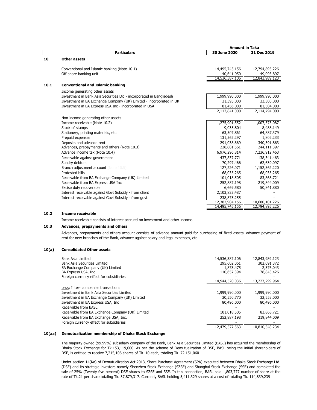|      |                                                                     | <b>Amount in Taka</b> |                |
|------|---------------------------------------------------------------------|-----------------------|----------------|
|      | <b>Particulars</b>                                                  | 30 June 2020          | 31 Dec 2019    |
| 10   | <b>Other assets</b>                                                 |                       |                |
|      | Conventional and Islamic banking (Note 10.1)                        | 14,495,745,156        | 12,794,895,226 |
|      | Off-shore banking unit                                              | 40,641,950            | 49,093,897     |
|      |                                                                     | 14,536,387,106        | 12,843,989,123 |
| 10.1 | <b>Conventional and Islamic banking</b>                             |                       |                |
|      | Income generating other assets                                      |                       |                |
|      | Investment in Bank Asia Securities Ltd - incorporated in Bangladesh | 1,999,990,000         | 1,999,990,000  |
|      | Investment in BA Exchange Company (UK) Limited - incorporated in UK | 31,395,000            | 33,300,000     |
|      | Investment in BA Express USA Inc - incorporated in USA              | 81,456,000            | 81,504,000     |
|      |                                                                     | 2,112,841,000         | 2,114,794,000  |
|      | Non-income generating other assets                                  |                       |                |
|      | Income receivable (Note 10.2)                                       | 1,275,901,552         | 1,007,575,087  |
|      | Stock of stamps                                                     | 9,035,804             | 8,488,149      |
|      | Stationery, printing materials, etc                                 | 63,507,861            | 64,887,379     |
|      | Prepaid expenses                                                    | 131,562,297           | 1,802,233      |
|      | Deposits and advance rent                                           | 291,038,669           | 340,391,863    |
|      | Advances, prepayments and others (Note 10.3)                        | 228,881,561           | 244,111,397    |
|      | Advance income tax (Note 10.4)                                      | 6,976,296,814         | 7,236,912,463  |
|      | Receivable against government                                       | 437,837,771           | 138,341,463    |
|      | Sundry debtors                                                      | 70,297,466            | 62,639,097     |
|      | Branch adjustment account (Note 10.5)                               | 127,226,071           | 1,152,362,220  |
|      | Protested bills                                                     | 68,035,265            | 68,035,265     |
|      | Receivable from BA Exchange Company (UK) Limited                    | 101,018,505           | 83,868,721     |
|      | Receivable from BA Express USA Inc                                  | 252,887,198           | 219,844,009    |
|      | Excise duty recoverable                                             | 6,669,580             | 50,841,880     |
|      | Interest receivable against Govt Subsidy - from client              | 2,103,832,487         |                |
|      | Interest receivable against Govt Subsidy - from govt                | 238,875,255           |                |
|      |                                                                     | 12,382,904,156        | 10,680,101,226 |
|      |                                                                     | 14,495,745,156        | 12,794,895,226 |

# **10.2 Income receivable**

Income receivable consists of interest accrued on investment and other income.

### **10.3 Advances, prepayments and others**

Advances, prepayments and others account consists of advance amount paid for purchasing of fixed assets, advance payment of rent for new branches of the Bank, advance against salary and legal expenses, etc.

#### **10(a) Consolidated Other assets**

| Bank Asia Limited<br><b>Bank Asia Securities Limited</b><br>BA Exchange Company (UK) Limited<br>BA Express USA, Inc.<br>Foreign currency effect for subsidiaries | 14,536,387,106<br>295,602,061<br>1,873,475<br>110,657,394 | 12,843,989,123<br>302,091,372<br>2,376,043<br>78,843,426 |
|------------------------------------------------------------------------------------------------------------------------------------------------------------------|-----------------------------------------------------------|----------------------------------------------------------|
|                                                                                                                                                                  | 14,944,520,036                                            | 13,227,299,964                                           |
| Less: Inter-companies transactions                                                                                                                               |                                                           |                                                          |
| Investment in Bank Asia Securities Limited                                                                                                                       | 1,999,990,000                                             | 1,999,990,000                                            |
| Investment in BA Exchange Company (UK) Limited                                                                                                                   | 30,550,770                                                | 32,553,000                                               |
| Investment in BA Express USA, Inc.                                                                                                                               | 80,496,000                                                | 80,496,000                                               |
| Receivable from BASL                                                                                                                                             |                                                           |                                                          |
| Receivable from BA Exchange Company (UK) Limited                                                                                                                 | 101,018,505                                               | 83,868,721                                               |
| Receivable from BA Exchange USA, Inc.                                                                                                                            | 252,887,198                                               | 219,844,009                                              |
| Foreign currency effect for subsidiaries                                                                                                                         |                                                           |                                                          |
|                                                                                                                                                                  | 12,479,577,563                                            | 10,810,548,234                                           |

#### **10(aa) Demutualization membership of Dhaka Stock Exchange**

The majority owned (99.99%) subsidiary company of the Bank, Bank Asia Securities Limited (BASL) has acquired the membership of Dhaka Stock Exchange for Tk.153,119,000. As per the scheme of Demutualization of DSE, BASL being the initial shareholders of DSE, is entitled to receive 7,215,106 shares of Tk. 10 each, totaling Tk. 72,151,060.

Under section 14(Ka) of Demutualization Act 2013, Share Purchase Agreement (SPA) executed between Dhaka Stock Exchange Ltd. (DSE) and its strategic investors namely Shenzhen Stock Exchange (SZSE) and Shanghai Stock Exchange (SSE) and completed the sale of 25% (Twenty-five percent) DSE shares to SZSE and SSE. In this connection, BASL sold 1,803,777 number of share at the rate of Tk.21 per share totaling Tk. 37,879,317. Currently BASL holding 5,411,329 shares at a cost of totaling Tk. 114,839,239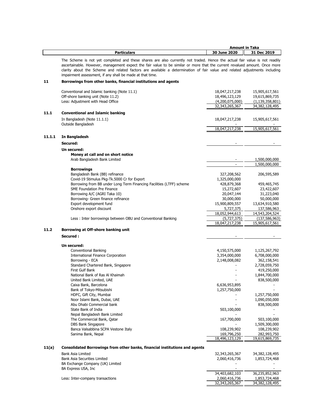|        |                                                                                                                            | <b>Amount in Taka</b> |                    |
|--------|----------------------------------------------------------------------------------------------------------------------------|-----------------------|--------------------|
|        | <b>Particulars</b>                                                                                                         | 30 June 2020          | 31 Dec 2019        |
|        |                                                                                                                            |                       |                    |
|        | The Scheme is not yet completed and these shares are also currently not traded. Hence the actual fair value is not readily |                       |                    |
|        | ascertainable. However, management expect the fair value to be similar or more that the current revalued amount. Once more |                       |                    |
|        | clarity about the Scheme and related factors are available a determination of fair value and related adjustments including |                       |                    |
|        | impairment assessment, if any shall be made at that time.                                                                  |                       |                    |
|        |                                                                                                                            |                       |                    |
| 11     | Borrowings from other banks, financial institutions and agents                                                             |                       |                    |
|        |                                                                                                                            |                       |                    |
|        | Conventional and Islamic banking (Note 11.1)                                                                               | 18,047,217,238        | 15,905,617,561     |
|        | Off-shore banking unit (Note 11.2)                                                                                         | 18,496,123,129        | 19,615,869,735     |
|        | Less: Adjustment with Head Office                                                                                          | (4,200,075,000)       | (1, 139, 358, 801) |
|        |                                                                                                                            | 32,343,265,367        | 34,382,128,495     |
|        |                                                                                                                            |                       |                    |
| 11.1   | <b>Conventional and Islamic banking</b>                                                                                    |                       |                    |
|        | In Bangladesh (Note 11.1.1)                                                                                                | 18,047,217,238        | 15,905,617,561     |
|        | Outside Bangladesh                                                                                                         |                       |                    |
|        |                                                                                                                            | 18,047,217,238        | 15,905,617,561     |
|        |                                                                                                                            |                       |                    |
| 11.1.1 | In Bangladesh                                                                                                              |                       |                    |
|        |                                                                                                                            |                       |                    |
|        | Secured:                                                                                                                   |                       |                    |
|        | Un secured:                                                                                                                |                       |                    |
|        | Money at call and on short notice                                                                                          |                       |                    |
|        |                                                                                                                            |                       |                    |
|        | Arab Bangladesh Bank Limited                                                                                               |                       | 1,500,000,000      |
|        |                                                                                                                            |                       | 1,500,000,000      |
|        | <b>Borrowings</b>                                                                                                          |                       |                    |
|        | Bangladesh Bank (BB) refinance                                                                                             | 327,208,562           | 206,595,589        |
|        | Covid-19 Stimulus Pkg-Tk.5000 Cr for Export                                                                                | 1,325,000,000         |                    |
|        | Borrowing from BB under Long Term Financing Facilities (LTFF) scheme                                                       | 428,879,368           | 459,465,745        |
|        |                                                                                                                            |                       |                    |
|        | <b>SME Foundation Pre Finance</b>                                                                                          | 15,272,607            | 23,422,607         |
|        | Borrowing A/C (AGRI Taka 10)                                                                                               | 20,047,144            | 31,223,040         |
|        | Borrowing- Green finance refinance                                                                                         | 30,000,000            | 50,000,000         |
|        | Export development fund                                                                                                    | 15,900,809,557        | 13,634,910,580     |
|        | Onshore export discount                                                                                                    | 5,727,375             | 137,586,963        |
|        |                                                                                                                            |                       |                    |
|        |                                                                                                                            | 18,052,944,613        | 14,543,204,524     |
|        | Less: Inter borrowings between OBU and Conventional Banking                                                                | (5,727,375)           | (137, 586, 963)    |
|        |                                                                                                                            | 18,047,217,238        | 15,905,617,561     |
| 11.2   | Borrowing at Off-shore banking unit                                                                                        |                       |                    |
|        |                                                                                                                            |                       |                    |
|        | Secured:                                                                                                                   |                       |                    |
|        |                                                                                                                            |                       |                    |
|        | Un secured:                                                                                                                |                       |                    |
|        | Conventional Banking                                                                                                       | 4,150,575,000         | 1,125,267,792      |
|        | International Finance Corporation                                                                                          | 3,354,000,000         | 6,708,000,000      |
|        | Borrowing - ECA                                                                                                            | 2,148,008,082         | 362,158,541        |
|        |                                                                                                                            |                       |                    |
|        | Standard Chartered Bank, Singapore                                                                                         |                       | 2,728,059,750      |
|        | First Gulf Bank                                                                                                            |                       | 419,250,000        |
|        | National Bank of Ras Al Khaimah                                                                                            |                       | 1,844,700,000      |
|        | United Bank Limited, UAE                                                                                                   |                       | 838,500,000        |
|        | Caixa Bank, Barcelona                                                                                                      | 6,636,953,895         |                    |
|        | Bank of Tokyo-Mitsubishi                                                                                                   | 1,257,750,000         |                    |
|        |                                                                                                                            |                       |                    |
|        | HDFC, Gift City, Mumbai                                                                                                    |                       | 1,257,750,000      |
|        | Noor Islami Bank, Dubai, UAE                                                                                               |                       | 1,090,050,000      |
|        | Abu Dhabi Commercial bank                                                                                                  |                       | 838,500,000        |
|        | State Bank of India                                                                                                        | 503,100,000           |                    |
|        | Nepal Bangladesh Bank Limited                                                                                              |                       |                    |
|        |                                                                                                                            |                       |                    |
|        | The Commercial Bank, Qatar                                                                                                 | 167,700,000           | 503,100,000        |
|        | <b>DBS Bank Singapore</b>                                                                                                  |                       | 1,509,300,000      |
|        | Banca Valsabbina SCPA Vestone Italy                                                                                        | 108,239,902           | 108,239,902        |
|        | Sanima Bank, Nepal                                                                                                         | 169,796,250           | 282,993,750        |
|        |                                                                                                                            | 18,496,123,129        | 19,615,869,735     |
|        |                                                                                                                            |                       |                    |
| 11(a)  | Consolidated Borrowings from other banks, financial institutions and agents                                                |                       |                    |
|        |                                                                                                                            |                       |                    |
|        | Bank Asia Limited                                                                                                          | 32,343,265,367        | 34,382,128,495     |
|        | Bank Asia Securities Limited                                                                                               | 2,060,416,736         | 1,853,724,468      |
|        | BA Exchange Company (UK) Limited                                                                                           |                       |                    |
|        | BA Express USA, Inc                                                                                                        |                       |                    |
|        |                                                                                                                            | 34,403,682,103        | 36,235,852,963     |
|        |                                                                                                                            |                       | 1,853,724,468      |
|        | Less: Inter-company transactions                                                                                           | 2,060,416,736         |                    |
|        |                                                                                                                            | 32,343,265,367        | 34,382,128,495     |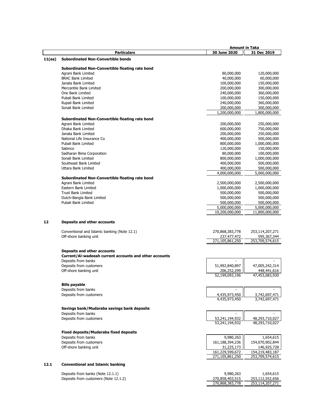|        |                                                        | <b>Amount in Taka</b>           |                                 |
|--------|--------------------------------------------------------|---------------------------------|---------------------------------|
|        | <b>Particulars</b>                                     | 30 June 2020                    | 31 Dec 2019                     |
| 11(aa) | <b>Subordinated Non-Convertible bonds</b>              |                                 |                                 |
|        |                                                        |                                 |                                 |
|        | Subordinated Non-Convertible floating rate bond        |                                 |                                 |
|        | Agrani Bank Limited                                    | 80,000,000                      | 120,000,000                     |
|        | <b>BRAC Bank Limited</b>                               | 40,000,000                      | 60,000,000                      |
|        | Janata Bank Limited                                    | 100,000,000                     | 150,000,000                     |
|        | Mercantile Bank Limited                                | 200,000,000                     | 300,000,000                     |
|        | One Bank Limited                                       | 240,000,000                     | 360,000,000                     |
|        | Pubali Bank Limited                                    | 100,000,000                     | 150,000,000                     |
|        | Rupali Bank Limited                                    | 240,000,000                     | 360,000,000                     |
|        | Sonali Bank Limited                                    | 200,000,000                     | 300,000,000                     |
|        |                                                        | 1,200,000,000                   | 1,800,000,000                   |
|        | Subordinated Non-Convertible floating rate bond        |                                 |                                 |
|        | Agrani Bank Limited                                    | 200,000,000                     | 250,000,000                     |
|        | Dhaka Bank Limited                                     | 600,000,000                     | 750,000,000                     |
|        | Janata Bank Limited                                    | 200,000,000                     | 250,000,000                     |
|        | National Life Insurance Co                             | 400,000,000                     | 500,000,000                     |
|        | Pubali Bank Limited                                    | 800,000,000                     | 1,000,000,000                   |
|        | Sabinco                                                | 120,000,000                     | 150,000,000                     |
|        | Sadharan Bima Corporation                              | 80,000,000                      | 100,000,000                     |
|        | Sonali Bank Limited                                    | 800,000,000                     | 1,000,000,000                   |
|        | Southeast Bank Limited                                 | 400,000,000                     | 500,000,000                     |
|        | Uttara Bank Limited                                    | 400,000,000                     | 500,000,000                     |
|        |                                                        | 4,000,000,000                   | 5,000,000,000                   |
|        | Subordinated Non-Convertible floating rate bond        |                                 |                                 |
|        |                                                        |                                 |                                 |
|        | Agrani Bank Limited                                    | 2,500,000,000                   | 2,500,000,000                   |
|        | Eastern Bank Limited                                   | 1,000,000,000                   | 1,000,000,000                   |
|        | <b>Trust Bank Limited</b>                              | 500,000,000                     | 500,000,000                     |
|        | Dutch-Bangla Bank Limited                              | 500,000,000                     | 500,000,000                     |
|        | Pubali Bank Limited                                    | 500,000,000                     | 500,000,000                     |
|        |                                                        | 5,000,000,000<br>10,200,000,000 | 5,000,000,000<br>11,800,000,000 |
| 12     | Deposits and other accounts                            |                                 |                                 |
|        | Conventional and Islamic banking (Note 12.1)           | 270,868,383,778                 | 253,114,207,271                 |
|        | Off-shore banking unit                                 | 237,477,472                     | 595,367,344                     |
|        |                                                        | 271,105,861,250                 | 253,709,574,615                 |
|        |                                                        |                                 |                                 |
|        | <b>Deposits and other accounts</b>                     |                                 |                                 |
|        | Current/Al-wadeeah current accounts and other accounts |                                 |                                 |
|        | Deposits from banks                                    |                                 |                                 |
|        | Deposits from customers                                | 51,992,840,897                  | 47,005,242,314                  |
|        | Off-shore banking unit                                 | 206,252,299                     | 448,441,616                     |
|        |                                                        | 52,199,093,196                  | 47,453,683,930                  |
|        |                                                        |                                 |                                 |
|        | <b>Bills payable</b><br>Deposits from banks            |                                 |                                 |
|        | Deposits from customers                                |                                 |                                 |
|        |                                                        | 4,435,973,450<br>4,435,973,450  | 3,742,697,471<br>3,742,697,471  |
|        |                                                        |                                 |                                 |
|        | Savings bank/Mudaraba savings bank deposits            |                                 |                                 |
|        | Deposits from banks                                    |                                 |                                 |
|        | Deposits from customers                                | 53,241,194,932                  | 48,293,710,027                  |
|        |                                                        | 53,241,194,932                  | 48,293,710,027                  |
|        |                                                        |                                 |                                 |
|        | <b>Fixed deposits/Mudaraba fixed deposits</b>          |                                 |                                 |
|        | Deposits from banks                                    | 9,980,263                       | 1,654,615                       |
|        | Deposits from customers                                | 161,188,394,236                 | 154,070,902,844                 |
|        | Off-shore banking unit                                 | 31,225,173                      | 146,925,728                     |
|        |                                                        | 161,229,599,672                 | 154,219,483,187                 |
|        |                                                        | 271,105,861,250                 | 253,709,574,615                 |
| 12.1   | <b>Conventional and Islamic banking</b>                |                                 |                                 |
|        |                                                        |                                 |                                 |
|        | Deposits from banks (Note 12.1.1)                      | 9,980,263                       | 1,654,615                       |
|        | Deposits from customers (Note 12.1.2)                  | 270,858,403,515                 | 253,112,552,656                 |

270,868,383,778 253,114,207,271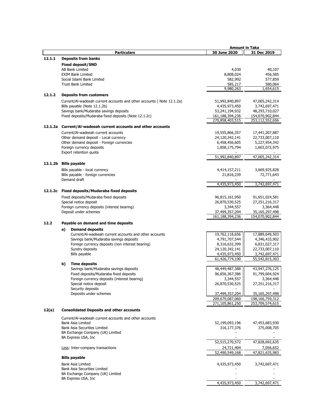| 30 June 2020<br>31 Dec 2019<br><b>Particulars</b><br>12.1.1<br><b>Deposits from banks</b><br><b>Fixed deposit/SND</b><br>AB Bank Limited<br>4,030<br>40,107<br>456,585<br><b>EXIM Bank Limited</b><br>8,808,024<br>582,992<br>577,859<br>Social Islami Bank Limited<br><b>Trust Bank Limited</b><br>585,217<br>580,064<br>9,980,263<br>1,654,615<br>12.1.2<br><b>Deposits from customers</b><br>Current/Al-wadeeah current accounts and other accounts (Note 12.1.2a)<br>51,992,840,897<br>47,005,242,314<br>Bills payable (Note 12.1.2b)<br>4,435,973,450<br>3,742,697,471<br>Savings bank/Mudaraba savings deposits<br>53,241,194,932<br>48,293,710,027<br>Fixed deposits/Mudaraba fixed deposits (Note 12.1.2c)<br>161,188,394,236<br>154,070,902,844<br>270,858,403,515<br>253,112,552,656<br>12.1.2a Current/Al-wadeeah current accounts and other accounts<br>Current/Al-wadeeah current accounts<br>19,555,866,357<br>17,441,207,887<br>Other demand deposit - Local currency<br>24,120,342,141<br>22,733,007,110<br>Other demand deposit - Foreign currencies<br>6,458,456,605<br>5,227,954,342<br>Foreign currency deposits<br>1,858,175,794<br>1,603,072,975<br>Export retention quota<br>51,992,840,897<br>47.005.242.314<br>12.1.2b<br><b>Bills payable</b><br>Bills payable - local currency<br>3,669,925,828<br>4,414,157,211<br>Bills payable - foreign currencies<br>21,816,239<br>72,771,643<br>Demand draft<br>4,435,973,450<br>3,742,697,471<br>12.1.2c<br><b>Fixed deposits/Mudaraba fixed deposits</b><br>Fixed deposits/Mudaraba fixed deposits<br>96,815,161,950<br>91,651,024,581<br>Special notice deposit<br>26,870,530,525<br>27,251,216,317<br>Foreign currency deposits (interest bearing)<br>3,344,557<br>3,364,448<br>Deposit under schemes<br>37,499,357,204<br>35,165,297,498<br>161,188,394,236<br>154,070,902,844<br>12.2<br>Payable on demand and time deposits<br><b>Demand deposits</b><br>a)<br>Current/Al-wadeeah current accounts and other accounts<br>19,762,118,656<br>17,889,649,503<br>Savings bank/Mudaraba savings deposits<br>4,791,707,544<br>4,346,433,902<br>Foreign currency deposits (non interest bearing)<br>8,316,632,399<br>6,831,027,317<br>Sundry deposits<br>24,120,342,141<br>22,733,007,110<br>Bills payable<br>4,435,973,450<br>3,742,697,471<br>61,426,774,190<br>55,542,815,303<br>b)<br><b>Time deposits</b><br>Savings bank/Mudaraba savings deposits<br>48,449,487,388<br>43,947,276,125<br>Fixed deposits/Mudaraba fixed deposits<br>96,856,367,386<br>91,799,604,924<br>3,344,557<br>3,364,448<br>Foreign currency deposits (interest bearing)<br>26,870,530,525<br>Special notice deposit<br>27,251,216,317<br>Security deposits<br>37,499,357,204<br>Deposits under schemes<br>35,165,297,498<br>209,679,087,060<br>198,166,759,312<br>271,105,861,250<br>253,709,574,615<br><b>Consolidated Deposits and other accounts</b><br>12(a)<br>Current/Al-wadeeah current accounts and other accounts<br>Bank Asia Limited<br>52,199,093,196<br>47,453,683,930<br><b>Bank Asia Securities Limited</b><br>375,008,705<br>316,177,376<br>BA Exchange Company (UK) Limited<br>BA Express USA, Inc.<br>52,515,270,572<br>47,828,692,635<br>24,721,404<br>7,056,652<br>Less: Inter-company transactions<br>47,821,635,983<br>52,490,549,168<br><b>Bills payable</b><br>Bank Asia Limited<br>3,742,697,471<br>4,435,973,450<br>Bank Asia Securities Limited<br>BA Exchange Company (UK) Limited<br>BA Express USA, Inc. |  |  | Amount in Taka |
|--------------------------------------------------------------------------------------------------------------------------------------------------------------------------------------------------------------------------------------------------------------------------------------------------------------------------------------------------------------------------------------------------------------------------------------------------------------------------------------------------------------------------------------------------------------------------------------------------------------------------------------------------------------------------------------------------------------------------------------------------------------------------------------------------------------------------------------------------------------------------------------------------------------------------------------------------------------------------------------------------------------------------------------------------------------------------------------------------------------------------------------------------------------------------------------------------------------------------------------------------------------------------------------------------------------------------------------------------------------------------------------------------------------------------------------------------------------------------------------------------------------------------------------------------------------------------------------------------------------------------------------------------------------------------------------------------------------------------------------------------------------------------------------------------------------------------------------------------------------------------------------------------------------------------------------------------------------------------------------------------------------------------------------------------------------------------------------------------------------------------------------------------------------------------------------------------------------------------------------------------------------------------------------------------------------------------------------------------------------------------------------------------------------------------------------------------------------------------------------------------------------------------------------------------------------------------------------------------------------------------------------------------------------------------------------------------------------------------------------------------------------------------------------------------------------------------------------------------------------------------------------------------------------------------------------------------------------------------------------------------------------------------------------------------------------------------------------------------------------------------------------------------------------------------------------------------------------------------------------------------------------------------------------------------------------------------------------------------------------------------------------------------------------------------------------------------------------------------------------|--|--|----------------|
|                                                                                                                                                                                                                                                                                                                                                                                                                                                                                                                                                                                                                                                                                                                                                                                                                                                                                                                                                                                                                                                                                                                                                                                                                                                                                                                                                                                                                                                                                                                                                                                                                                                                                                                                                                                                                                                                                                                                                                                                                                                                                                                                                                                                                                                                                                                                                                                                                                                                                                                                                                                                                                                                                                                                                                                                                                                                                                                                                                                                                                                                                                                                                                                                                                                                                                                                                                                                                                                                                      |  |  |                |
|                                                                                                                                                                                                                                                                                                                                                                                                                                                                                                                                                                                                                                                                                                                                                                                                                                                                                                                                                                                                                                                                                                                                                                                                                                                                                                                                                                                                                                                                                                                                                                                                                                                                                                                                                                                                                                                                                                                                                                                                                                                                                                                                                                                                                                                                                                                                                                                                                                                                                                                                                                                                                                                                                                                                                                                                                                                                                                                                                                                                                                                                                                                                                                                                                                                                                                                                                                                                                                                                                      |  |  |                |
|                                                                                                                                                                                                                                                                                                                                                                                                                                                                                                                                                                                                                                                                                                                                                                                                                                                                                                                                                                                                                                                                                                                                                                                                                                                                                                                                                                                                                                                                                                                                                                                                                                                                                                                                                                                                                                                                                                                                                                                                                                                                                                                                                                                                                                                                                                                                                                                                                                                                                                                                                                                                                                                                                                                                                                                                                                                                                                                                                                                                                                                                                                                                                                                                                                                                                                                                                                                                                                                                                      |  |  |                |
|                                                                                                                                                                                                                                                                                                                                                                                                                                                                                                                                                                                                                                                                                                                                                                                                                                                                                                                                                                                                                                                                                                                                                                                                                                                                                                                                                                                                                                                                                                                                                                                                                                                                                                                                                                                                                                                                                                                                                                                                                                                                                                                                                                                                                                                                                                                                                                                                                                                                                                                                                                                                                                                                                                                                                                                                                                                                                                                                                                                                                                                                                                                                                                                                                                                                                                                                                                                                                                                                                      |  |  |                |
|                                                                                                                                                                                                                                                                                                                                                                                                                                                                                                                                                                                                                                                                                                                                                                                                                                                                                                                                                                                                                                                                                                                                                                                                                                                                                                                                                                                                                                                                                                                                                                                                                                                                                                                                                                                                                                                                                                                                                                                                                                                                                                                                                                                                                                                                                                                                                                                                                                                                                                                                                                                                                                                                                                                                                                                                                                                                                                                                                                                                                                                                                                                                                                                                                                                                                                                                                                                                                                                                                      |  |  |                |
|                                                                                                                                                                                                                                                                                                                                                                                                                                                                                                                                                                                                                                                                                                                                                                                                                                                                                                                                                                                                                                                                                                                                                                                                                                                                                                                                                                                                                                                                                                                                                                                                                                                                                                                                                                                                                                                                                                                                                                                                                                                                                                                                                                                                                                                                                                                                                                                                                                                                                                                                                                                                                                                                                                                                                                                                                                                                                                                                                                                                                                                                                                                                                                                                                                                                                                                                                                                                                                                                                      |  |  |                |
|                                                                                                                                                                                                                                                                                                                                                                                                                                                                                                                                                                                                                                                                                                                                                                                                                                                                                                                                                                                                                                                                                                                                                                                                                                                                                                                                                                                                                                                                                                                                                                                                                                                                                                                                                                                                                                                                                                                                                                                                                                                                                                                                                                                                                                                                                                                                                                                                                                                                                                                                                                                                                                                                                                                                                                                                                                                                                                                                                                                                                                                                                                                                                                                                                                                                                                                                                                                                                                                                                      |  |  |                |
|                                                                                                                                                                                                                                                                                                                                                                                                                                                                                                                                                                                                                                                                                                                                                                                                                                                                                                                                                                                                                                                                                                                                                                                                                                                                                                                                                                                                                                                                                                                                                                                                                                                                                                                                                                                                                                                                                                                                                                                                                                                                                                                                                                                                                                                                                                                                                                                                                                                                                                                                                                                                                                                                                                                                                                                                                                                                                                                                                                                                                                                                                                                                                                                                                                                                                                                                                                                                                                                                                      |  |  |                |
|                                                                                                                                                                                                                                                                                                                                                                                                                                                                                                                                                                                                                                                                                                                                                                                                                                                                                                                                                                                                                                                                                                                                                                                                                                                                                                                                                                                                                                                                                                                                                                                                                                                                                                                                                                                                                                                                                                                                                                                                                                                                                                                                                                                                                                                                                                                                                                                                                                                                                                                                                                                                                                                                                                                                                                                                                                                                                                                                                                                                                                                                                                                                                                                                                                                                                                                                                                                                                                                                                      |  |  |                |
|                                                                                                                                                                                                                                                                                                                                                                                                                                                                                                                                                                                                                                                                                                                                                                                                                                                                                                                                                                                                                                                                                                                                                                                                                                                                                                                                                                                                                                                                                                                                                                                                                                                                                                                                                                                                                                                                                                                                                                                                                                                                                                                                                                                                                                                                                                                                                                                                                                                                                                                                                                                                                                                                                                                                                                                                                                                                                                                                                                                                                                                                                                                                                                                                                                                                                                                                                                                                                                                                                      |  |  |                |
|                                                                                                                                                                                                                                                                                                                                                                                                                                                                                                                                                                                                                                                                                                                                                                                                                                                                                                                                                                                                                                                                                                                                                                                                                                                                                                                                                                                                                                                                                                                                                                                                                                                                                                                                                                                                                                                                                                                                                                                                                                                                                                                                                                                                                                                                                                                                                                                                                                                                                                                                                                                                                                                                                                                                                                                                                                                                                                                                                                                                                                                                                                                                                                                                                                                                                                                                                                                                                                                                                      |  |  |                |
|                                                                                                                                                                                                                                                                                                                                                                                                                                                                                                                                                                                                                                                                                                                                                                                                                                                                                                                                                                                                                                                                                                                                                                                                                                                                                                                                                                                                                                                                                                                                                                                                                                                                                                                                                                                                                                                                                                                                                                                                                                                                                                                                                                                                                                                                                                                                                                                                                                                                                                                                                                                                                                                                                                                                                                                                                                                                                                                                                                                                                                                                                                                                                                                                                                                                                                                                                                                                                                                                                      |  |  |                |
|                                                                                                                                                                                                                                                                                                                                                                                                                                                                                                                                                                                                                                                                                                                                                                                                                                                                                                                                                                                                                                                                                                                                                                                                                                                                                                                                                                                                                                                                                                                                                                                                                                                                                                                                                                                                                                                                                                                                                                                                                                                                                                                                                                                                                                                                                                                                                                                                                                                                                                                                                                                                                                                                                                                                                                                                                                                                                                                                                                                                                                                                                                                                                                                                                                                                                                                                                                                                                                                                                      |  |  |                |
|                                                                                                                                                                                                                                                                                                                                                                                                                                                                                                                                                                                                                                                                                                                                                                                                                                                                                                                                                                                                                                                                                                                                                                                                                                                                                                                                                                                                                                                                                                                                                                                                                                                                                                                                                                                                                                                                                                                                                                                                                                                                                                                                                                                                                                                                                                                                                                                                                                                                                                                                                                                                                                                                                                                                                                                                                                                                                                                                                                                                                                                                                                                                                                                                                                                                                                                                                                                                                                                                                      |  |  |                |
|                                                                                                                                                                                                                                                                                                                                                                                                                                                                                                                                                                                                                                                                                                                                                                                                                                                                                                                                                                                                                                                                                                                                                                                                                                                                                                                                                                                                                                                                                                                                                                                                                                                                                                                                                                                                                                                                                                                                                                                                                                                                                                                                                                                                                                                                                                                                                                                                                                                                                                                                                                                                                                                                                                                                                                                                                                                                                                                                                                                                                                                                                                                                                                                                                                                                                                                                                                                                                                                                                      |  |  |                |
|                                                                                                                                                                                                                                                                                                                                                                                                                                                                                                                                                                                                                                                                                                                                                                                                                                                                                                                                                                                                                                                                                                                                                                                                                                                                                                                                                                                                                                                                                                                                                                                                                                                                                                                                                                                                                                                                                                                                                                                                                                                                                                                                                                                                                                                                                                                                                                                                                                                                                                                                                                                                                                                                                                                                                                                                                                                                                                                                                                                                                                                                                                                                                                                                                                                                                                                                                                                                                                                                                      |  |  |                |
|                                                                                                                                                                                                                                                                                                                                                                                                                                                                                                                                                                                                                                                                                                                                                                                                                                                                                                                                                                                                                                                                                                                                                                                                                                                                                                                                                                                                                                                                                                                                                                                                                                                                                                                                                                                                                                                                                                                                                                                                                                                                                                                                                                                                                                                                                                                                                                                                                                                                                                                                                                                                                                                                                                                                                                                                                                                                                                                                                                                                                                                                                                                                                                                                                                                                                                                                                                                                                                                                                      |  |  |                |
|                                                                                                                                                                                                                                                                                                                                                                                                                                                                                                                                                                                                                                                                                                                                                                                                                                                                                                                                                                                                                                                                                                                                                                                                                                                                                                                                                                                                                                                                                                                                                                                                                                                                                                                                                                                                                                                                                                                                                                                                                                                                                                                                                                                                                                                                                                                                                                                                                                                                                                                                                                                                                                                                                                                                                                                                                                                                                                                                                                                                                                                                                                                                                                                                                                                                                                                                                                                                                                                                                      |  |  |                |
|                                                                                                                                                                                                                                                                                                                                                                                                                                                                                                                                                                                                                                                                                                                                                                                                                                                                                                                                                                                                                                                                                                                                                                                                                                                                                                                                                                                                                                                                                                                                                                                                                                                                                                                                                                                                                                                                                                                                                                                                                                                                                                                                                                                                                                                                                                                                                                                                                                                                                                                                                                                                                                                                                                                                                                                                                                                                                                                                                                                                                                                                                                                                                                                                                                                                                                                                                                                                                                                                                      |  |  |                |
|                                                                                                                                                                                                                                                                                                                                                                                                                                                                                                                                                                                                                                                                                                                                                                                                                                                                                                                                                                                                                                                                                                                                                                                                                                                                                                                                                                                                                                                                                                                                                                                                                                                                                                                                                                                                                                                                                                                                                                                                                                                                                                                                                                                                                                                                                                                                                                                                                                                                                                                                                                                                                                                                                                                                                                                                                                                                                                                                                                                                                                                                                                                                                                                                                                                                                                                                                                                                                                                                                      |  |  |                |
|                                                                                                                                                                                                                                                                                                                                                                                                                                                                                                                                                                                                                                                                                                                                                                                                                                                                                                                                                                                                                                                                                                                                                                                                                                                                                                                                                                                                                                                                                                                                                                                                                                                                                                                                                                                                                                                                                                                                                                                                                                                                                                                                                                                                                                                                                                                                                                                                                                                                                                                                                                                                                                                                                                                                                                                                                                                                                                                                                                                                                                                                                                                                                                                                                                                                                                                                                                                                                                                                                      |  |  |                |
|                                                                                                                                                                                                                                                                                                                                                                                                                                                                                                                                                                                                                                                                                                                                                                                                                                                                                                                                                                                                                                                                                                                                                                                                                                                                                                                                                                                                                                                                                                                                                                                                                                                                                                                                                                                                                                                                                                                                                                                                                                                                                                                                                                                                                                                                                                                                                                                                                                                                                                                                                                                                                                                                                                                                                                                                                                                                                                                                                                                                                                                                                                                                                                                                                                                                                                                                                                                                                                                                                      |  |  |                |
|                                                                                                                                                                                                                                                                                                                                                                                                                                                                                                                                                                                                                                                                                                                                                                                                                                                                                                                                                                                                                                                                                                                                                                                                                                                                                                                                                                                                                                                                                                                                                                                                                                                                                                                                                                                                                                                                                                                                                                                                                                                                                                                                                                                                                                                                                                                                                                                                                                                                                                                                                                                                                                                                                                                                                                                                                                                                                                                                                                                                                                                                                                                                                                                                                                                                                                                                                                                                                                                                                      |  |  |                |
|                                                                                                                                                                                                                                                                                                                                                                                                                                                                                                                                                                                                                                                                                                                                                                                                                                                                                                                                                                                                                                                                                                                                                                                                                                                                                                                                                                                                                                                                                                                                                                                                                                                                                                                                                                                                                                                                                                                                                                                                                                                                                                                                                                                                                                                                                                                                                                                                                                                                                                                                                                                                                                                                                                                                                                                                                                                                                                                                                                                                                                                                                                                                                                                                                                                                                                                                                                                                                                                                                      |  |  |                |
|                                                                                                                                                                                                                                                                                                                                                                                                                                                                                                                                                                                                                                                                                                                                                                                                                                                                                                                                                                                                                                                                                                                                                                                                                                                                                                                                                                                                                                                                                                                                                                                                                                                                                                                                                                                                                                                                                                                                                                                                                                                                                                                                                                                                                                                                                                                                                                                                                                                                                                                                                                                                                                                                                                                                                                                                                                                                                                                                                                                                                                                                                                                                                                                                                                                                                                                                                                                                                                                                                      |  |  |                |
|                                                                                                                                                                                                                                                                                                                                                                                                                                                                                                                                                                                                                                                                                                                                                                                                                                                                                                                                                                                                                                                                                                                                                                                                                                                                                                                                                                                                                                                                                                                                                                                                                                                                                                                                                                                                                                                                                                                                                                                                                                                                                                                                                                                                                                                                                                                                                                                                                                                                                                                                                                                                                                                                                                                                                                                                                                                                                                                                                                                                                                                                                                                                                                                                                                                                                                                                                                                                                                                                                      |  |  |                |
|                                                                                                                                                                                                                                                                                                                                                                                                                                                                                                                                                                                                                                                                                                                                                                                                                                                                                                                                                                                                                                                                                                                                                                                                                                                                                                                                                                                                                                                                                                                                                                                                                                                                                                                                                                                                                                                                                                                                                                                                                                                                                                                                                                                                                                                                                                                                                                                                                                                                                                                                                                                                                                                                                                                                                                                                                                                                                                                                                                                                                                                                                                                                                                                                                                                                                                                                                                                                                                                                                      |  |  |                |
|                                                                                                                                                                                                                                                                                                                                                                                                                                                                                                                                                                                                                                                                                                                                                                                                                                                                                                                                                                                                                                                                                                                                                                                                                                                                                                                                                                                                                                                                                                                                                                                                                                                                                                                                                                                                                                                                                                                                                                                                                                                                                                                                                                                                                                                                                                                                                                                                                                                                                                                                                                                                                                                                                                                                                                                                                                                                                                                                                                                                                                                                                                                                                                                                                                                                                                                                                                                                                                                                                      |  |  |                |
|                                                                                                                                                                                                                                                                                                                                                                                                                                                                                                                                                                                                                                                                                                                                                                                                                                                                                                                                                                                                                                                                                                                                                                                                                                                                                                                                                                                                                                                                                                                                                                                                                                                                                                                                                                                                                                                                                                                                                                                                                                                                                                                                                                                                                                                                                                                                                                                                                                                                                                                                                                                                                                                                                                                                                                                                                                                                                                                                                                                                                                                                                                                                                                                                                                                                                                                                                                                                                                                                                      |  |  |                |
|                                                                                                                                                                                                                                                                                                                                                                                                                                                                                                                                                                                                                                                                                                                                                                                                                                                                                                                                                                                                                                                                                                                                                                                                                                                                                                                                                                                                                                                                                                                                                                                                                                                                                                                                                                                                                                                                                                                                                                                                                                                                                                                                                                                                                                                                                                                                                                                                                                                                                                                                                                                                                                                                                                                                                                                                                                                                                                                                                                                                                                                                                                                                                                                                                                                                                                                                                                                                                                                                                      |  |  |                |
|                                                                                                                                                                                                                                                                                                                                                                                                                                                                                                                                                                                                                                                                                                                                                                                                                                                                                                                                                                                                                                                                                                                                                                                                                                                                                                                                                                                                                                                                                                                                                                                                                                                                                                                                                                                                                                                                                                                                                                                                                                                                                                                                                                                                                                                                                                                                                                                                                                                                                                                                                                                                                                                                                                                                                                                                                                                                                                                                                                                                                                                                                                                                                                                                                                                                                                                                                                                                                                                                                      |  |  |                |
|                                                                                                                                                                                                                                                                                                                                                                                                                                                                                                                                                                                                                                                                                                                                                                                                                                                                                                                                                                                                                                                                                                                                                                                                                                                                                                                                                                                                                                                                                                                                                                                                                                                                                                                                                                                                                                                                                                                                                                                                                                                                                                                                                                                                                                                                                                                                                                                                                                                                                                                                                                                                                                                                                                                                                                                                                                                                                                                                                                                                                                                                                                                                                                                                                                                                                                                                                                                                                                                                                      |  |  |                |
|                                                                                                                                                                                                                                                                                                                                                                                                                                                                                                                                                                                                                                                                                                                                                                                                                                                                                                                                                                                                                                                                                                                                                                                                                                                                                                                                                                                                                                                                                                                                                                                                                                                                                                                                                                                                                                                                                                                                                                                                                                                                                                                                                                                                                                                                                                                                                                                                                                                                                                                                                                                                                                                                                                                                                                                                                                                                                                                                                                                                                                                                                                                                                                                                                                                                                                                                                                                                                                                                                      |  |  |                |
|                                                                                                                                                                                                                                                                                                                                                                                                                                                                                                                                                                                                                                                                                                                                                                                                                                                                                                                                                                                                                                                                                                                                                                                                                                                                                                                                                                                                                                                                                                                                                                                                                                                                                                                                                                                                                                                                                                                                                                                                                                                                                                                                                                                                                                                                                                                                                                                                                                                                                                                                                                                                                                                                                                                                                                                                                                                                                                                                                                                                                                                                                                                                                                                                                                                                                                                                                                                                                                                                                      |  |  |                |
|                                                                                                                                                                                                                                                                                                                                                                                                                                                                                                                                                                                                                                                                                                                                                                                                                                                                                                                                                                                                                                                                                                                                                                                                                                                                                                                                                                                                                                                                                                                                                                                                                                                                                                                                                                                                                                                                                                                                                                                                                                                                                                                                                                                                                                                                                                                                                                                                                                                                                                                                                                                                                                                                                                                                                                                                                                                                                                                                                                                                                                                                                                                                                                                                                                                                                                                                                                                                                                                                                      |  |  |                |
|                                                                                                                                                                                                                                                                                                                                                                                                                                                                                                                                                                                                                                                                                                                                                                                                                                                                                                                                                                                                                                                                                                                                                                                                                                                                                                                                                                                                                                                                                                                                                                                                                                                                                                                                                                                                                                                                                                                                                                                                                                                                                                                                                                                                                                                                                                                                                                                                                                                                                                                                                                                                                                                                                                                                                                                                                                                                                                                                                                                                                                                                                                                                                                                                                                                                                                                                                                                                                                                                                      |  |  |                |
|                                                                                                                                                                                                                                                                                                                                                                                                                                                                                                                                                                                                                                                                                                                                                                                                                                                                                                                                                                                                                                                                                                                                                                                                                                                                                                                                                                                                                                                                                                                                                                                                                                                                                                                                                                                                                                                                                                                                                                                                                                                                                                                                                                                                                                                                                                                                                                                                                                                                                                                                                                                                                                                                                                                                                                                                                                                                                                                                                                                                                                                                                                                                                                                                                                                                                                                                                                                                                                                                                      |  |  |                |
|                                                                                                                                                                                                                                                                                                                                                                                                                                                                                                                                                                                                                                                                                                                                                                                                                                                                                                                                                                                                                                                                                                                                                                                                                                                                                                                                                                                                                                                                                                                                                                                                                                                                                                                                                                                                                                                                                                                                                                                                                                                                                                                                                                                                                                                                                                                                                                                                                                                                                                                                                                                                                                                                                                                                                                                                                                                                                                                                                                                                                                                                                                                                                                                                                                                                                                                                                                                                                                                                                      |  |  |                |
|                                                                                                                                                                                                                                                                                                                                                                                                                                                                                                                                                                                                                                                                                                                                                                                                                                                                                                                                                                                                                                                                                                                                                                                                                                                                                                                                                                                                                                                                                                                                                                                                                                                                                                                                                                                                                                                                                                                                                                                                                                                                                                                                                                                                                                                                                                                                                                                                                                                                                                                                                                                                                                                                                                                                                                                                                                                                                                                                                                                                                                                                                                                                                                                                                                                                                                                                                                                                                                                                                      |  |  |                |
|                                                                                                                                                                                                                                                                                                                                                                                                                                                                                                                                                                                                                                                                                                                                                                                                                                                                                                                                                                                                                                                                                                                                                                                                                                                                                                                                                                                                                                                                                                                                                                                                                                                                                                                                                                                                                                                                                                                                                                                                                                                                                                                                                                                                                                                                                                                                                                                                                                                                                                                                                                                                                                                                                                                                                                                                                                                                                                                                                                                                                                                                                                                                                                                                                                                                                                                                                                                                                                                                                      |  |  |                |
|                                                                                                                                                                                                                                                                                                                                                                                                                                                                                                                                                                                                                                                                                                                                                                                                                                                                                                                                                                                                                                                                                                                                                                                                                                                                                                                                                                                                                                                                                                                                                                                                                                                                                                                                                                                                                                                                                                                                                                                                                                                                                                                                                                                                                                                                                                                                                                                                                                                                                                                                                                                                                                                                                                                                                                                                                                                                                                                                                                                                                                                                                                                                                                                                                                                                                                                                                                                                                                                                                      |  |  |                |
|                                                                                                                                                                                                                                                                                                                                                                                                                                                                                                                                                                                                                                                                                                                                                                                                                                                                                                                                                                                                                                                                                                                                                                                                                                                                                                                                                                                                                                                                                                                                                                                                                                                                                                                                                                                                                                                                                                                                                                                                                                                                                                                                                                                                                                                                                                                                                                                                                                                                                                                                                                                                                                                                                                                                                                                                                                                                                                                                                                                                                                                                                                                                                                                                                                                                                                                                                                                                                                                                                      |  |  |                |
|                                                                                                                                                                                                                                                                                                                                                                                                                                                                                                                                                                                                                                                                                                                                                                                                                                                                                                                                                                                                                                                                                                                                                                                                                                                                                                                                                                                                                                                                                                                                                                                                                                                                                                                                                                                                                                                                                                                                                                                                                                                                                                                                                                                                                                                                                                                                                                                                                                                                                                                                                                                                                                                                                                                                                                                                                                                                                                                                                                                                                                                                                                                                                                                                                                                                                                                                                                                                                                                                                      |  |  |                |
|                                                                                                                                                                                                                                                                                                                                                                                                                                                                                                                                                                                                                                                                                                                                                                                                                                                                                                                                                                                                                                                                                                                                                                                                                                                                                                                                                                                                                                                                                                                                                                                                                                                                                                                                                                                                                                                                                                                                                                                                                                                                                                                                                                                                                                                                                                                                                                                                                                                                                                                                                                                                                                                                                                                                                                                                                                                                                                                                                                                                                                                                                                                                                                                                                                                                                                                                                                                                                                                                                      |  |  |                |
|                                                                                                                                                                                                                                                                                                                                                                                                                                                                                                                                                                                                                                                                                                                                                                                                                                                                                                                                                                                                                                                                                                                                                                                                                                                                                                                                                                                                                                                                                                                                                                                                                                                                                                                                                                                                                                                                                                                                                                                                                                                                                                                                                                                                                                                                                                                                                                                                                                                                                                                                                                                                                                                                                                                                                                                                                                                                                                                                                                                                                                                                                                                                                                                                                                                                                                                                                                                                                                                                                      |  |  |                |
|                                                                                                                                                                                                                                                                                                                                                                                                                                                                                                                                                                                                                                                                                                                                                                                                                                                                                                                                                                                                                                                                                                                                                                                                                                                                                                                                                                                                                                                                                                                                                                                                                                                                                                                                                                                                                                                                                                                                                                                                                                                                                                                                                                                                                                                                                                                                                                                                                                                                                                                                                                                                                                                                                                                                                                                                                                                                                                                                                                                                                                                                                                                                                                                                                                                                                                                                                                                                                                                                                      |  |  |                |
|                                                                                                                                                                                                                                                                                                                                                                                                                                                                                                                                                                                                                                                                                                                                                                                                                                                                                                                                                                                                                                                                                                                                                                                                                                                                                                                                                                                                                                                                                                                                                                                                                                                                                                                                                                                                                                                                                                                                                                                                                                                                                                                                                                                                                                                                                                                                                                                                                                                                                                                                                                                                                                                                                                                                                                                                                                                                                                                                                                                                                                                                                                                                                                                                                                                                                                                                                                                                                                                                                      |  |  |                |
|                                                                                                                                                                                                                                                                                                                                                                                                                                                                                                                                                                                                                                                                                                                                                                                                                                                                                                                                                                                                                                                                                                                                                                                                                                                                                                                                                                                                                                                                                                                                                                                                                                                                                                                                                                                                                                                                                                                                                                                                                                                                                                                                                                                                                                                                                                                                                                                                                                                                                                                                                                                                                                                                                                                                                                                                                                                                                                                                                                                                                                                                                                                                                                                                                                                                                                                                                                                                                                                                                      |  |  |                |
|                                                                                                                                                                                                                                                                                                                                                                                                                                                                                                                                                                                                                                                                                                                                                                                                                                                                                                                                                                                                                                                                                                                                                                                                                                                                                                                                                                                                                                                                                                                                                                                                                                                                                                                                                                                                                                                                                                                                                                                                                                                                                                                                                                                                                                                                                                                                                                                                                                                                                                                                                                                                                                                                                                                                                                                                                                                                                                                                                                                                                                                                                                                                                                                                                                                                                                                                                                                                                                                                                      |  |  |                |
|                                                                                                                                                                                                                                                                                                                                                                                                                                                                                                                                                                                                                                                                                                                                                                                                                                                                                                                                                                                                                                                                                                                                                                                                                                                                                                                                                                                                                                                                                                                                                                                                                                                                                                                                                                                                                                                                                                                                                                                                                                                                                                                                                                                                                                                                                                                                                                                                                                                                                                                                                                                                                                                                                                                                                                                                                                                                                                                                                                                                                                                                                                                                                                                                                                                                                                                                                                                                                                                                                      |  |  |                |
|                                                                                                                                                                                                                                                                                                                                                                                                                                                                                                                                                                                                                                                                                                                                                                                                                                                                                                                                                                                                                                                                                                                                                                                                                                                                                                                                                                                                                                                                                                                                                                                                                                                                                                                                                                                                                                                                                                                                                                                                                                                                                                                                                                                                                                                                                                                                                                                                                                                                                                                                                                                                                                                                                                                                                                                                                                                                                                                                                                                                                                                                                                                                                                                                                                                                                                                                                                                                                                                                                      |  |  |                |
|                                                                                                                                                                                                                                                                                                                                                                                                                                                                                                                                                                                                                                                                                                                                                                                                                                                                                                                                                                                                                                                                                                                                                                                                                                                                                                                                                                                                                                                                                                                                                                                                                                                                                                                                                                                                                                                                                                                                                                                                                                                                                                                                                                                                                                                                                                                                                                                                                                                                                                                                                                                                                                                                                                                                                                                                                                                                                                                                                                                                                                                                                                                                                                                                                                                                                                                                                                                                                                                                                      |  |  |                |
|                                                                                                                                                                                                                                                                                                                                                                                                                                                                                                                                                                                                                                                                                                                                                                                                                                                                                                                                                                                                                                                                                                                                                                                                                                                                                                                                                                                                                                                                                                                                                                                                                                                                                                                                                                                                                                                                                                                                                                                                                                                                                                                                                                                                                                                                                                                                                                                                                                                                                                                                                                                                                                                                                                                                                                                                                                                                                                                                                                                                                                                                                                                                                                                                                                                                                                                                                                                                                                                                                      |  |  |                |
|                                                                                                                                                                                                                                                                                                                                                                                                                                                                                                                                                                                                                                                                                                                                                                                                                                                                                                                                                                                                                                                                                                                                                                                                                                                                                                                                                                                                                                                                                                                                                                                                                                                                                                                                                                                                                                                                                                                                                                                                                                                                                                                                                                                                                                                                                                                                                                                                                                                                                                                                                                                                                                                                                                                                                                                                                                                                                                                                                                                                                                                                                                                                                                                                                                                                                                                                                                                                                                                                                      |  |  |                |
|                                                                                                                                                                                                                                                                                                                                                                                                                                                                                                                                                                                                                                                                                                                                                                                                                                                                                                                                                                                                                                                                                                                                                                                                                                                                                                                                                                                                                                                                                                                                                                                                                                                                                                                                                                                                                                                                                                                                                                                                                                                                                                                                                                                                                                                                                                                                                                                                                                                                                                                                                                                                                                                                                                                                                                                                                                                                                                                                                                                                                                                                                                                                                                                                                                                                                                                                                                                                                                                                                      |  |  |                |
|                                                                                                                                                                                                                                                                                                                                                                                                                                                                                                                                                                                                                                                                                                                                                                                                                                                                                                                                                                                                                                                                                                                                                                                                                                                                                                                                                                                                                                                                                                                                                                                                                                                                                                                                                                                                                                                                                                                                                                                                                                                                                                                                                                                                                                                                                                                                                                                                                                                                                                                                                                                                                                                                                                                                                                                                                                                                                                                                                                                                                                                                                                                                                                                                                                                                                                                                                                                                                                                                                      |  |  |                |
|                                                                                                                                                                                                                                                                                                                                                                                                                                                                                                                                                                                                                                                                                                                                                                                                                                                                                                                                                                                                                                                                                                                                                                                                                                                                                                                                                                                                                                                                                                                                                                                                                                                                                                                                                                                                                                                                                                                                                                                                                                                                                                                                                                                                                                                                                                                                                                                                                                                                                                                                                                                                                                                                                                                                                                                                                                                                                                                                                                                                                                                                                                                                                                                                                                                                                                                                                                                                                                                                                      |  |  |                |
|                                                                                                                                                                                                                                                                                                                                                                                                                                                                                                                                                                                                                                                                                                                                                                                                                                                                                                                                                                                                                                                                                                                                                                                                                                                                                                                                                                                                                                                                                                                                                                                                                                                                                                                                                                                                                                                                                                                                                                                                                                                                                                                                                                                                                                                                                                                                                                                                                                                                                                                                                                                                                                                                                                                                                                                                                                                                                                                                                                                                                                                                                                                                                                                                                                                                                                                                                                                                                                                                                      |  |  |                |
|                                                                                                                                                                                                                                                                                                                                                                                                                                                                                                                                                                                                                                                                                                                                                                                                                                                                                                                                                                                                                                                                                                                                                                                                                                                                                                                                                                                                                                                                                                                                                                                                                                                                                                                                                                                                                                                                                                                                                                                                                                                                                                                                                                                                                                                                                                                                                                                                                                                                                                                                                                                                                                                                                                                                                                                                                                                                                                                                                                                                                                                                                                                                                                                                                                                                                                                                                                                                                                                                                      |  |  |                |
|                                                                                                                                                                                                                                                                                                                                                                                                                                                                                                                                                                                                                                                                                                                                                                                                                                                                                                                                                                                                                                                                                                                                                                                                                                                                                                                                                                                                                                                                                                                                                                                                                                                                                                                                                                                                                                                                                                                                                                                                                                                                                                                                                                                                                                                                                                                                                                                                                                                                                                                                                                                                                                                                                                                                                                                                                                                                                                                                                                                                                                                                                                                                                                                                                                                                                                                                                                                                                                                                                      |  |  |                |
|                                                                                                                                                                                                                                                                                                                                                                                                                                                                                                                                                                                                                                                                                                                                                                                                                                                                                                                                                                                                                                                                                                                                                                                                                                                                                                                                                                                                                                                                                                                                                                                                                                                                                                                                                                                                                                                                                                                                                                                                                                                                                                                                                                                                                                                                                                                                                                                                                                                                                                                                                                                                                                                                                                                                                                                                                                                                                                                                                                                                                                                                                                                                                                                                                                                                                                                                                                                                                                                                                      |  |  |                |
|                                                                                                                                                                                                                                                                                                                                                                                                                                                                                                                                                                                                                                                                                                                                                                                                                                                                                                                                                                                                                                                                                                                                                                                                                                                                                                                                                                                                                                                                                                                                                                                                                                                                                                                                                                                                                                                                                                                                                                                                                                                                                                                                                                                                                                                                                                                                                                                                                                                                                                                                                                                                                                                                                                                                                                                                                                                                                                                                                                                                                                                                                                                                                                                                                                                                                                                                                                                                                                                                                      |  |  |                |
|                                                                                                                                                                                                                                                                                                                                                                                                                                                                                                                                                                                                                                                                                                                                                                                                                                                                                                                                                                                                                                                                                                                                                                                                                                                                                                                                                                                                                                                                                                                                                                                                                                                                                                                                                                                                                                                                                                                                                                                                                                                                                                                                                                                                                                                                                                                                                                                                                                                                                                                                                                                                                                                                                                                                                                                                                                                                                                                                                                                                                                                                                                                                                                                                                                                                                                                                                                                                                                                                                      |  |  |                |
| 4,435,973,450<br>3,742,697,471                                                                                                                                                                                                                                                                                                                                                                                                                                                                                                                                                                                                                                                                                                                                                                                                                                                                                                                                                                                                                                                                                                                                                                                                                                                                                                                                                                                                                                                                                                                                                                                                                                                                                                                                                                                                                                                                                                                                                                                                                                                                                                                                                                                                                                                                                                                                                                                                                                                                                                                                                                                                                                                                                                                                                                                                                                                                                                                                                                                                                                                                                                                                                                                                                                                                                                                                                                                                                                                       |  |  |                |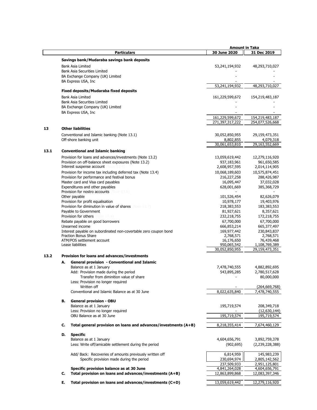|      |    |                                                                  | <b>Amount in Taka</b>       |                             |
|------|----|------------------------------------------------------------------|-----------------------------|-----------------------------|
|      |    | <b>Particulars</b>                                               | 30 June 2020                | 31 Dec 2019                 |
|      |    | Savings bank/Mudaraba savings bank deposits                      |                             |                             |
|      |    |                                                                  |                             |                             |
|      |    | <b>Bank Asia Limited</b>                                         | 53,241,194,932              | 48,293,710,027              |
|      |    | <b>Bank Asia Securities Limited</b>                              |                             |                             |
|      |    | BA Exchange Company (UK) Limited                                 |                             |                             |
|      |    | BA Express USA, Inc                                              |                             |                             |
|      |    |                                                                  | 53,241,194,932              | 48,293,710,027              |
|      |    | <b>Fixed deposits/Mudaraba fixed deposits</b>                    |                             |                             |
|      |    | <b>Bank Asia Limited</b>                                         | 161,229,599,672             | 154,219,483,187             |
|      |    | <b>Bank Asia Securities Limited</b>                              |                             |                             |
|      |    | BA Exchange Company (UK) Limited                                 |                             |                             |
|      |    | BA Express USA, Inc                                              |                             |                             |
|      |    |                                                                  | 161,229,599,672             | 154,219,483,187             |
|      |    |                                                                  | 271,397,317,222             | 254,077,526,668             |
| 13   |    | <b>Other liabilities</b>                                         |                             |                             |
|      |    | Conventional and Islamic banking (Note 13.1)                     | 30,052,850,955              | 29,159,473,351              |
|      |    |                                                                  |                             |                             |
|      |    | Off-shore banking unit                                           | 8,802,855<br>30,061,653,810 | 4,079,318<br>29,163,552,669 |
|      |    |                                                                  |                             |                             |
| 13.1 |    | <b>Conventional and Islamic banking</b>                          |                             |                             |
|      |    | Provision for loans and advances/investments (Note 13.2)         | 13,059,619,442              | 12,279,116,920              |
|      |    | Provision on off-balance sheet exposures (Note 13.2)             | 937,183,961                 | 961,650,585                 |
|      |    | Interest suspense account<br>lote                                | 2,608,957,595               | 2,014,114,905               |
|      |    | Provision for income tax including deferred tax (Note 13.4)      | 10,068,189,603              | 10,575,874,451              |
|      |    | Provision for performance and festival bonus                     | 216,227,258                 | 288,426,987                 |
|      |    | Master card and Visa card payables                               | 16,095,447                  | 37,032,028                  |
|      |    | Expenditures and other payables                                  | 628,001,669                 | 385,368,729                 |
|      |    | Provision for nostro accounts<br>Note 13.6)                      |                             |                             |
|      |    | Other payable                                                    | 101,526,454                 | 82,626,079                  |
|      |    | Provision for profit equalisation                                | 10,978,177                  | 19,403,976                  |
|      |    | <b>Provision for diminution in value of shares (Note 13.7)</b>   | 218,383,553                 | 183, 383, 553               |
|      |    | Payable to Government                                            | 81,927,621                  | 8,357,621                   |
|      |    | <b>Provision for others</b> (Note 13.8)                          | 232,218,755                 | 172,218,755                 |
|      |    | Rebate payable on good borrowers                                 | 67,700,000                  | 67,700,000                  |
|      |    | Unearned income                                                  | 666,853,214                 | 665,377,497                 |
|      |    | Interest payable on subordinated non-covertable zero coupon bond | 169,977,442                 | 230,843,837                 |
|      |    | Fraction Bonus Share                                             | 2,768,571                   | 2,768,571                   |
|      |    | ATM/POS settlement account                                       | 16,176,650                  | 76,439,468                  |
|      |    | Lease liabilities                                                | 950,065,542                 | 1,108,769,389               |
|      |    |                                                                  | 30,052,850,955              | 29,159,473,351              |
| 13.2 |    | Provision for loans and advances/investments                     |                             |                             |
|      | А. | General provision - Conventional and Islamic                     |                             |                             |
|      |    | Balance as at 1 January                                          | 7,478,740,555               | 4,882,892,695               |
|      |    | Add: Provision made during the period                            | 543,895,285                 | 2,780,517,628               |
|      |    | Transfer from diminition value of share                          |                             | 80,000,000                  |
|      |    | Less: Provision no longer required                               |                             |                             |
|      |    | Written off                                                      |                             | (264, 669, 768)             |
|      |    | Conventional and Islamic Balance as at 30 June                   | 8,022,635,840               | 7,478,740,555               |
|      |    |                                                                  |                             |                             |
|      | В. | <b>General provision - OBU</b>                                   |                             |                             |
|      |    | Balance as at 1 January                                          | 195,719,574                 | 208,349,718                 |
|      |    | Less: Provision no longer required                               |                             | (12,630,144)                |
|      |    | OBU Balance as at 30 June                                        | 195,719,574                 | 195,719,574                 |
|      | C. | Total general provision on loans and advances/investments (A+B)  | 8,218,355,414               | 7,674,460,129               |
|      |    |                                                                  |                             |                             |
|      | D. | <b>Specific</b>                                                  |                             |                             |
|      |    | Balance as at 1 January                                          | 4,604,656,791               | 3,892,759,378               |
|      |    | Less: Write off/amicable settlement during the period            | (902, 695)                  | (2,239,228,388)             |
|      |    |                                                                  |                             |                             |
|      |    | Add/ Back: Recoveries of amounts previously written off          | 6,814,959                   | 145,983,239                 |
|      |    | Specific provision made during the period                        | 230,694,974                 | 2,805,142,562               |
|      |    |                                                                  | 237,509,933                 | 2,951,125,801               |
|      |    | Specific provision balance as at 30 June                         | 4,841,264,028               | 4,604,656,791               |
|      | С. | Total provision on loans and advances/investments (A+B)          | 12,863,899,868              | 12,083,397,346              |
|      | Е. | Total provision on loans and advances/investments (C+D)          | 13,059,619,442              | 12,279,116,920              |
|      |    |                                                                  |                             |                             |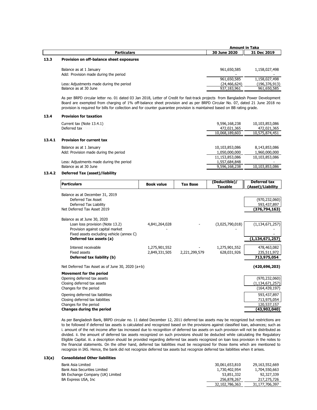|      |                                          | <b>Amount in Taka</b> |                 |
|------|------------------------------------------|-----------------------|-----------------|
|      | <b>Particulars</b>                       | 30 June 2020          | 31 Dec 2019     |
| 13.3 | Provision on off-balance sheet exposures |                       |                 |
|      | Balance as at 1 January                  | 961,650,585           | 1,158,027,498   |
|      | Add: Provision made during the period    |                       |                 |
|      |                                          | 961,650,585           | 1,158,027,498   |
|      | Less: Adjustments made during the period | (24, 466, 624)        | (196, 376, 913) |
|      | Balance as at 30 June                    | 937,183,961           | 961,650,585     |

As per BRPD circular letter no. 01 dated 03 Jan 2018, Letter of Credit for fast-track projects from Bangladesh Power Development Board are exempted from charging of 1% off-balance sheet provision and as per BRPD Circular No. 07, dated 21 June 2018 no provision is required for bills for collection and for counter guarantee provision is maintained based on BB rating grade.

#### **13.4 Provision for taxation**

|        | Current tax (Note 13.4.1)<br><b>Deferred tax</b> (Note 13.1.2)   | 9,596,168,238<br>472,021,365<br>10,068,189,603 | 10,103,853,086<br>472,021,365<br>10,575,874,451 |
|--------|------------------------------------------------------------------|------------------------------------------------|-------------------------------------------------|
| 13.4.1 | <b>Provision for current tax</b>                                 |                                                |                                                 |
|        | Balance as at 1 January<br>Add: Provision made during the period | 10,103,853,086<br>1,050,000,000                | 8,143,853,086<br>1,960,000,000                  |
|        |                                                                  | 11,153,853,086                                 | 10,103,853,086                                  |

Less: Adjustments made during the period<br>
Balance as at 30 June 1,000 September 2014 1,000 September 2014 1,000 September 2016<br>
10,103,853,086 Balance as at 30 June  $9,596,168,238$ 

#### **13.4.2 Deferred Tax (asset)/liability**

| <b>Particulars</b>                                                                                                                                                        | <b>Book value</b>              | <b>Tax Base</b> | (Deductible)/<br><b>Taxable</b> | Deferred tax<br>(Asset)/Liability                                                |
|---------------------------------------------------------------------------------------------------------------------------------------------------------------------------|--------------------------------|-----------------|---------------------------------|----------------------------------------------------------------------------------|
| Balance as at December 31, 2019<br>Deferred Tax Asset<br>Deferred Tax Liability<br>Net Deferred Tax Asset 2019                                                            |                                |                 |                                 | (970, 232, 060)<br>593,437,897<br>(376,794,163)                                  |
| Balance as at June 30, 2020<br>Loan loss provision (Note 13.2)<br>Provision against capital market<br>Fixed assets excluding vehicle (annex C)<br>Deferred tax assets (a) | 4,841,264,028                  |                 | (3,025,790,018)                 | (1, 134, 671, 257)<br>(1,134,671,257)                                            |
| Interest receivable<br>Fixed assets<br>Deferred tax liability (b)                                                                                                         | 1,275,901,552<br>2,849,331,505 | 2,221,299,579   | 1,275,901,552<br>628,031,926    | 478,463,082<br>235,511,972<br>713,975,054                                        |
| Net Deferred Tax Asset as of June 30, 2020 (a+b)                                                                                                                          |                                |                 |                                 | (420, 696, 203)                                                                  |
| <b>Movement for the period</b><br>Opening deferred tax assets<br>Closing deferred tax assets<br>Changes for the period                                                    |                                |                 |                                 | (970, 232, 060)<br>(1, 134, 671, 257)<br>(164, 439, 197)<br>$F(2)$ $F(3)$ $F(2)$ |

Opening deferred tax liabilities 693,437,897 (September 2012)<br>Closing deferred tax liabilities 693,437,897 (September 2013,975,054 ) (September 2013,975,054 ) (September 20 Closing deferred tax liabilities Changes for the period 120,537,157 **Changes during the period (43,902,040)**

As per Bangladesh Bank, BRPD circular no. 11 dated December 12, 2011 deferred tax assets may be recognized but restrictions are to be followed if deferred tax assets is calculated and recognized based on the provisions against classified loan, advances; such as i. amount of the net income after tax increased due to recognition of deferred tax assets on such provision will not be distributed as divided. ii. the amount of deferred tax assets recognized on such provisions should be deducted while calculating the Regulatory Eligible Capital. iii. a description should be provided regarding deferred tax assets recognized on loan loss provision in the notes to the financial statements. On the other hand, deferred tax liabilities must be recognized for those items which are mentioned to recognize in IAS. Hence, the bank did not recognize deferred tax assets but recognize deferred tax liabilities when it arises.

#### **13(a) Consolidated Other liabilities**

| Bank Asia Limited                | 30,061,653,810 | 29,163,552,669 |
|----------------------------------|----------------|----------------|
| Bank Asia Securities Limited     | 1,730,402,954  | 1,704,550,663  |
| BA Exchange Company (UK) Limited | 53,851,332     | 92,327,339     |
| BA Express USA, Inc.             | 256,878,267    | 217,275,726    |
|                                  | 32,102,786,363 | 31,177,706,397 |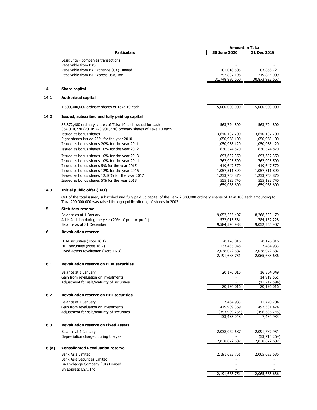|      | <b>Amount in Taka</b>                                                                                                         |                |                |
|------|-------------------------------------------------------------------------------------------------------------------------------|----------------|----------------|
|      | <b>Particulars</b>                                                                                                            | 30 June 2020   | 31 Dec 2019    |
|      | Less: Inter-companies transactions<br>Receivable from BASL                                                                    |                |                |
|      | Receivable from BA Exchange (UK) Limited                                                                                      | 101,018,505    | 83,868,721     |
|      | Receivable from BA Express USA, Inc.                                                                                          | 252,887,198    | 219,844,009    |
|      |                                                                                                                               | 31,748,880,660 | 30,873,993,667 |
| 14   | <b>Share capital</b>                                                                                                          |                |                |
| 14.1 | <b>Authorized capital</b>                                                                                                     |                |                |
|      | 1,500,000,000 ordinary shares of Taka 10 each                                                                                 | 15,000,000,000 | 15,000,000,000 |
| 14.2 | Issued, subscribed and fully paid up capital                                                                                  |                |                |
|      | 56,372,480 ordinary shares of Taka 10 each issued for cash<br>364,010,770 (2010: 243,901,270) ordinary shares of Taka 10 each | 563,724,800    | 563,724,800    |
|      | Issued as bonus shares                                                                                                        | 3,640,107,700  | 3,640,107,700  |
|      | Right shares issued 25% for the year 2010                                                                                     | 1,050,958,100  | 1,050,958,100  |
|      | Issued as bonus shares 20% for the year 2011                                                                                  | 1,050,958,120  | 1,050,958,120  |
|      | Issued as bonus shares 10% for the year 2012                                                                                  | 630,574,870    | 630,574,870    |
|      | Issued as bonus shares 10% for the year 2013                                                                                  | 693,632,350    | 693,632,350    |
|      | Issued as bonus shares 10% for the year 2014                                                                                  | 762,995,590    | 762,995,590    |
|      | Issued as bonus shares 5% for the year 2015                                                                                   | 419,647,570    | 419,647,570    |
|      | Issued as bonus shares 12% for the year 2016                                                                                  | 1,057,511,890  | 1,057,511,890  |
|      | Issued as bonus shares 12.50% for the year 2017                                                                               | 1,233,763,870  | 1,233,763,870  |
|      | Issued as bonus shares 5% for the year 2018                                                                                   | 555,193,740    | 555,193,740    |
|      |                                                                                                                               | 11,659,068,600 | 11,659,068,600 |

# **14.3 Initial public offer (IPO)**

Out of the total issued, subscribed and fully paid up capital of the Bank 2,000,000 ordinary shares of Taka 100 each amounting to Taka 200,000,000 was raised through public offering of shares in 2003

# **15 Statutory reserve**

|        | Balance as at 1 January                               | 9,052,555,407 | 8,268,393,179   |
|--------|-------------------------------------------------------|---------------|-----------------|
|        | Add: Addition during the year (20% of pre-tax profit) | 532,015,581   | 784,162,228     |
|        | Balance as at 31 December                             | 9,584,570,988 | 9,052,555,407   |
| 16     | <b>Revaluation reserve</b>                            |               |                 |
|        | HTM securities (Note 16.1)                            | 20,176,016    | 20,176,016      |
|        | HFT securities (Note 16.2)                            | 133,435,048   | 7,434,933       |
|        | Fixed Assets revaluation (Note 16.3)                  | 2,038,072,687 | 2,038,072,687   |
|        |                                                       | 2,191,683,751 | 2,065,683,636   |
| 16.1   | <b>Revaluation reserve on HTM securities</b>          |               |                 |
|        | Balance at 1 January                                  | 20,176,016    | 16,504,049      |
|        | Gain from revaluation on investments                  |               | 14,919,561      |
|        | Adjustment for sale/maturity of securities            |               | (11, 247, 594)  |
|        |                                                       | 20,176,016    | 20,176,016      |
| 16.2   | <b>Revaluation reserve on HFT securities</b>          |               |                 |
|        | Balance at 1 January                                  | 7,434,933     | 11,740,204      |
|        | Gain from revaluation on investments                  | 479,909,369   | 492,331,474     |
|        | Adjustment for sale/maturity of securities            | (353,909,254) | (496, 636, 745) |
|        |                                                       | 133,435,048   | 7,434,933       |
| 16.3   | <b>Revaluation reserve on Fixed Assets</b>            |               |                 |
|        | Balance at 1 January                                  | 2,038,072,687 | 2,091,787,951   |
|        | Depreciation charged during the year                  |               | (53,715,264)    |
|        |                                                       | 2.038.072.687 | 2,038,072,687   |
| 16 (a) | <b>Consolidated Revaluation reserve</b>               |               |                 |
|        | <b>Bank Asia Limited</b>                              | 2,191,683,751 | 2,065,683,636   |
|        | <b>Bank Asia Securities Limited</b>                   |               |                 |
|        | BA Exchange Company (UK) Limited                      |               |                 |
|        | BA Express USA, Inc.                                  |               |                 |
|        |                                                       | 2,191,683,751 | 2,065,683,636   |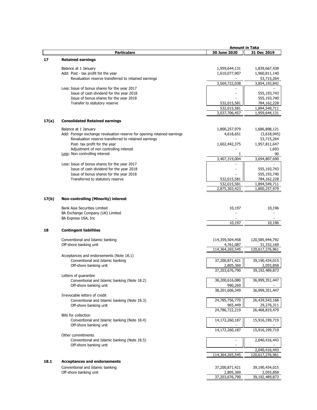|       |                                                                         | <b>Amount in Taka</b> |                 |
|-------|-------------------------------------------------------------------------|-----------------------|-----------------|
|       | <b>Particulars</b>                                                      | 30 June 2020          | 31 Dec 2019     |
| 17    | <b>Retained earnings</b>                                                |                       |                 |
|       |                                                                         |                       |                 |
|       | Balance at 1 January                                                    | 1,959,644,131         | 1,839,667,438   |
|       | Add: Post - tax profit fot the year                                     | 1,610,077,907         | 1,960,811,140   |
|       | Revaluation reserve transferred to retained earnings                    |                       | 53,715,264      |
|       |                                                                         | 3,569,722,038         | 3,854,193,842   |
|       | Less: Issue of bonus shares for the year 2017                           |                       |                 |
|       | Issue of cash dividend for the year 2018                                |                       | 555,193,743     |
|       | Issue of bonus shares for the year 2018                                 |                       | 555,193,740     |
|       | Transfer to statutory reserve                                           | 532,015,581           | 784,162,228     |
|       |                                                                         | 532,015,581           | 1,894,549,711   |
|       |                                                                         | 3,037,706,457         | 1,959,644,131   |
| 17(a) | <b>Consolidated Retained earnings</b>                                   |                       |                 |
|       |                                                                         |                       |                 |
|       | Balance at 1 January                                                    | 1,800,257,979         | 1,686,898,121   |
|       | Add: Foreign exchange revaluation reserve for opening retained earnings | 4,618,651             | (3,618,945)     |
|       | Revaluation reserve transferred to retained earnings                    |                       | 53,715,264      |
|       | Post- tax profit for the year                                           | 1,602,442,375         | 1,957,811,647   |
|       | Adjustment of non controlling interest                                  |                       | 1,693           |
|       | Less: Non controlling interest                                          | 1                     | 90              |
|       |                                                                         | 3,407,319,004         | 3,694,807,690   |
|       | Less: Issue of bonus shares for the year 2017                           |                       |                 |
|       | Issue of cash dividend for the year 2018                                |                       | 555,193,743     |
|       | Issue of bonus shares for the year 2018                                 |                       | 555,193,740     |
|       | Transferred to statutory reserve                                        | 532,015,581           | 784,162,228     |
|       |                                                                         | 532,015,581           | 1,894,549,711   |
|       |                                                                         | 2,875,303,423         | 1,800,257,979   |
|       |                                                                         |                       |                 |
| 17(b) | Non-controlling (Minority) interest                                     |                       |                 |
|       |                                                                         |                       |                 |
|       | <b>Bank Asia Securities Limited</b>                                     | 10,197                | 10,196          |
|       | BA Exchange Company (UK) Limited                                        |                       |                 |
|       | BA Express USA, Inc                                                     |                       |                 |
|       |                                                                         | 10,197                | 10,196          |
| 18    | <b>Contingent liabilities</b>                                           |                       |                 |
|       |                                                                         |                       |                 |
|       | Conventional and Islamic banking                                        | 114,359,504,458       | 120,585,944,792 |
|       | Off-shore banking unit                                                  | 4,761,087             | 31,332,169      |
|       |                                                                         | 114,364,265,545       | 120,617,276,961 |
|       | Acceptances and endorsements (Note 18.1)                                |                       |                 |
|       | Conventional and Islamic banking                                        | 37,200,871,421        | 39,190,434,015  |
|       | Off-shore banking unit                                                  | 2,805,369             | 2,055,858       |
|       |                                                                         | 37,203,676,790        | 39,192,489,873  |
|       | Letters of guarantee                                                    |                       |                 |
|       | Conventional and Islamic banking (Note 18.2)                            | 38,200,616,080        | 36,999,351,447  |
|       | Off-shore banking unit                                                  | 990,269               |                 |
|       |                                                                         | 38,201,606,349        | 36,999,351,447  |
|       | Irrevocable letters of credit                                           |                       |                 |
|       | Conventional and Islamic banking (Note 18.3)                            | 24,785,756,770        | 26,439,543,168  |
|       | Off-shore banking unit                                                  | 965,449               | 29,276,311      |
|       |                                                                         | 24,786,722,219        | 26,468,819,479  |
|       | <b>Bills for collection</b>                                             |                       |                 |
|       | Conventional and Islamic banking (Note 18.4)                            | 14,172,260,187        | 15,916,199,719  |
|       | Off-shore banking unit                                                  |                       |                 |
|       |                                                                         | 14,172,260,187        | 15,916,199,719  |
|       | Other commitments                                                       |                       |                 |
|       | Conventional and Islamic banking (Note 18.5)                            |                       | 2,040,416,443   |
|       | Off-shore banking unit                                                  |                       |                 |
|       |                                                                         |                       | 2,040,416,443   |
|       |                                                                         | 114,364,265,545       | 120,617,276,961 |
| 18.1  | <b>Acceptances and endorsements</b>                                     |                       |                 |
|       | Conventional and Islamic banking                                        | 37,200,871,421        | 39,190,434,015  |
|       | Off-shore banking unit                                                  | 2,805,369             | 2,055,858       |
|       |                                                                         | 37,203,676,790        | 39,192,489,873  |
|       |                                                                         |                       |                 |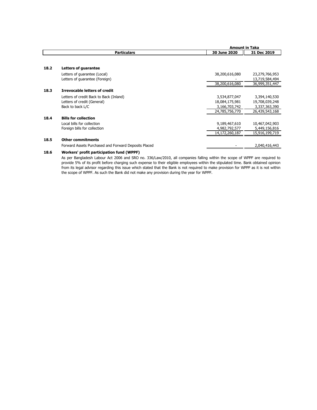|      |                                                      |                | <b>Amount in Taka</b> |  |  |
|------|------------------------------------------------------|----------------|-----------------------|--|--|
|      | <b>Particulars</b>                                   | 30 June 2020   | 31 Dec 2019           |  |  |
|      |                                                      |                |                       |  |  |
| 18.2 | Letters of guarantee                                 |                |                       |  |  |
|      | Letters of quarantee (Local)                         | 38,200,616,080 | 23,279,766,953        |  |  |
|      | Letters of quarantee (Foreign)                       |                | 13,719,584,494        |  |  |
|      |                                                      | 38,200,616,080 | 36,999,351,447        |  |  |
| 18.3 | <b>Irrevocable letters of credit</b>                 |                |                       |  |  |
|      | Letters of credit Back to Back (Inland)              | 3,534,877,047  | 3,394,140,530         |  |  |
|      | Letters of credit (General)                          | 18,084,175,981 | 19,708,039,248        |  |  |
|      | Back to back L/C                                     | 3,166,703,742  | 3,337,363,390         |  |  |
|      |                                                      | 24,785,756,770 | 26,439,543,168        |  |  |
| 18.4 | <b>Bills for collection</b>                          |                |                       |  |  |
|      | Local bills for collection                           | 9,189,467,610  | 10,467,042,903        |  |  |
|      | Foreign bills for collection                         | 4,982,792,577  | 5,449,156,816         |  |  |
|      |                                                      | 14,172,260,187 | 15,916,199,719        |  |  |
| 18.5 | <b>Other commitments</b>                             |                |                       |  |  |
|      | Forward Assets Purchased and Forward Deposits Placed |                | 2,040,416,443         |  |  |

# **18.6 Workers' profit participation fund (WPPF)**

As per Bangladesh Labour Act 2006 and SRO no. 336/Law/2010, all companies falling within the scope of WPPF are required to provide 5% of its profit before charging such expense to their eligible employees within the stipulated time. Bank obtained opinion from its legal advisor regarding this issue which stated that the Bank is not required to make provision for WPPF as it is not within the scope of WPPF. As such the Bank did not make any provision during the year for WPPF.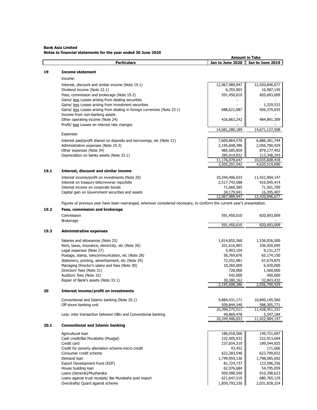# **Bank Asia Limited Notes to financial statements for the year ended 30 June 2020**

|      | <b>Particulars</b>                                                                                                        | Jan to June 2020              | Jan to June 2019              |
|------|---------------------------------------------------------------------------------------------------------------------------|-------------------------------|-------------------------------|
| 19   | <b>Income statement</b>                                                                                                   |                               |                               |
|      |                                                                                                                           |                               |                               |
|      | Income:                                                                                                                   |                               |                               |
|      | Interest, discount and similar income (Note 19.1)                                                                         | 12,967,989,947                | 12,420,846,677                |
|      | Dividend income (Note 22.1)<br>Fees, commission and brokerage (Note 19.2)                                                 | 6,355,903<br>591,450,010      | 16,987,145<br>820,693,009     |
|      | Gains/ less Losses arising from dealing securities                                                                        |                               |                               |
|      | Gains/ less Losses arising from investment securities                                                                     |                               | 1,329,533                     |
|      | Gains/ less Losses arising from dealing in foreign currencies (Note 23.1)                                                 | 688,621,087                   | 926,379,835                   |
|      | Income from non-banking assets                                                                                            |                               |                               |
|      | Other operating income (Note 24)                                                                                          | 426,863,242                   | 484,891,309                   |
|      | Profit/ less Losses on interest rate changes                                                                              |                               |                               |
|      |                                                                                                                           | 14,681,280,189                | 14,671,127,508                |
|      | Expenses:                                                                                                                 |                               |                               |
|      | Interest paid/profit shared on deposits and borrowings, etc (Note 21)                                                     | 7,609,864,570                 | 6,886,381,744                 |
|      | Administrative expenses (Note 19.3)                                                                                       | 2,195,608,386                 | 2,056,700,929                 |
|      | Other expenses (Note 34)                                                                                                  | 985,585,859                   | 879,177,452                   |
|      | Depreciation on banks assets (Note 33.1)                                                                                  | 385,019,832<br>11,176,078,647 | 213,348,293<br>10,035,608,418 |
|      |                                                                                                                           | 3,505,201,542                 | 4,635,519,090                 |
| 19.1 | Interest, discount and similar income                                                                                     |                               |                               |
|      | Interest income/profit on investments (Note 20)                                                                           | 10,344,406,033                | 11,422,904,147                |
|      | Interest on treasury bills/reverse repo/bills                                                                             | 2,517,743,588                 | 910,045,414                   |
|      | Interest income on corporate bonds                                                                                        | 71,660,385                    | 71,501,709                    |
|      | Capital gain on Government securities and assets                                                                          | 34,179,941                    | 16,395,407                    |
|      |                                                                                                                           | 12,967,989,947                | 12,420,846,677                |
|      | Figures of previous year have been rearranged, wherever considered necessary, to conform the current year's presentation. |                               |                               |
| 19.2 | Fees, commission and brokerage                                                                                            |                               |                               |
|      | Commission                                                                                                                | 591,450,010                   | 820,693,009                   |
|      | Brokerage                                                                                                                 |                               |                               |
|      |                                                                                                                           | 591,450,010                   | 820,693,009                   |
| 19.3 | <b>Administrative expenses</b>                                                                                            |                               |                               |
|      | Salaries and allowances (Note 25)                                                                                         | 1,814,855,360                 | 1,536,026,500                 |
|      | Rent, taxes, insurance, electricity, etc (Note 26)                                                                        | 201,616,903                   | 336,920,695                   |
|      | Legal expenses (Note 27)                                                                                                  | 5,903,104                     | 9,131,277                     |
|      | Postage, stamp, telecommunication, etc (Note 28)                                                                          | 58,769,876                    | 65,174,150                    |
|      | Stationery, printing, advertisement, etc (Note 29)                                                                        | 72,552,981                    | 67,674,875                    |
|      | Managing Director's salary and fees (Note 30)                                                                             | 10,260,000                    | 6,920,000                     |
|      | Directors' fees (Note 31)                                                                                                 | 728,000                       | 1,560,000                     |
|      | Auditors' fees (Note 32)                                                                                                  | 542,000                       | 450,000                       |
|      | Repair of Bank's assets (Note 33.1)                                                                                       | 30,380,162<br>2,195,608,386   | 32,843,432                    |
| 20   |                                                                                                                           |                               | 2,056,700,929                 |
|      | Interest income/profit on investments                                                                                     |                               |                               |
|      | Conventional and Islamic banking (Note 20.1)                                                                              | 9,884,431,171                 | 10,840,145,560                |
|      | Off-shore banking unit                                                                                                    | 509,844,340                   | 588,305,771                   |
|      |                                                                                                                           | 10,394,275,511                | 11,428,451,331                |
|      | Less: inter transaction between OBU and Conventional banking                                                              | 49,869,478<br>10,344,406,033  | 5,547,184<br>11,422,904,147   |
| 20.1 | <b>Conventional and Islamic banking</b>                                                                                   |                               |                               |
|      |                                                                                                                           |                               |                               |
|      | Agricultural loan                                                                                                         | 186,918,566                   | 149,721,697                   |
|      | Cash credit/Bai Murabaha (Muajjal)                                                                                        | 232,405,932                   | 222,913,664<br>189,544,925    |
|      | Credit card<br>Credit for poverty alleviation scheme-micro credit                                                         | 237,654,319<br>43,452         | 171,066                       |
|      | Consumer credit scheme                                                                                                    | 622,283,548                   | 623,709,832                   |
|      | Demand loan                                                                                                               | 1,749,959,136                 | 1,798,585,692                 |
|      | Export Development Fund (EDF)                                                                                             | 81,724,737                    | 123,596,256                   |
|      | House building loan                                                                                                       | 62,976,684                    | 54,795,059                    |
|      | Loans (General)/Musharaka                                                                                                 | 959,580,540                   | 910,398,623                   |
|      | Loans against trust receipts/ Bai Murabaha post import                                                                    | 621,647,519                   | 680,765,129                   |
|      | Overdrafts/ Quard against scheme                                                                                          | 1,859,793,330                 | 2,031,828,324                 |

 **Amount in Taka**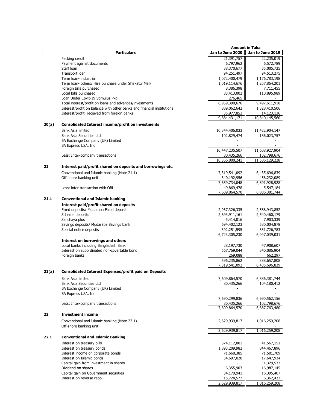|       |                                                                        |                              | <b>Amount in Taka</b>        |
|-------|------------------------------------------------------------------------|------------------------------|------------------------------|
|       | <b>Particulars</b>                                                     | Jan to June 2020             | Jan to June 2019             |
|       | Packing credit                                                         | 21,391,757                   | 22,235,019                   |
|       | Payment against documents                                              | 6,797,962                    | 6,572,789                    |
|       | Staff Ioan                                                             | 38,370,677                   | 35,005,725                   |
|       | Transport loan                                                         | 94,251,497                   | 94,513,275                   |
|       | Term loan- industrial                                                  | 1,072,400,479                | 1,176,783,198                |
|       | Term Ioan- others/ Hire purchase under Shirkatul Melk                  | 1,019,114,676                | 1,257,864,201                |
|       | Foreign bills purchased                                                | 8,386,398                    | 7,711,455                    |
|       | Local bills purchased                                                  | 83,413,002                   | 110,895,989                  |
|       | Loan Under Covit-19 Stimulus Pkg                                       | 276,465                      |                              |
|       | Total interest/profit on loans and advances/investments                | 8,959,390,676                | 9,497,611,918                |
|       | Interest/profit on balance with other banks and financial institutions | 889,062,642                  | 1,328,410,506                |
|       | Interest/profit received from foreign banks                            | 35,977,853                   | 14,123,136                   |
|       |                                                                        | 9,884,431,171                | 10,840,145,560               |
| 20(a) | <b>Consolidated Interest income/profit on investments</b>              |                              |                              |
|       | Bank Asia limited                                                      | 10,344,406,033               | 11,422,904,147               |
|       | Bank Asia Securities Ltd                                               | 102,829,474                  | 186,023,757                  |
|       | BA Exchange Company (UK) Limited                                       |                              |                              |
|       | BA Express USA, Inc                                                    |                              |                              |
|       |                                                                        | 10,447,235,507               | 11,608,927,904               |
|       | Less: Inter-company transactions                                       | 80,435,266                   | 102,798,676                  |
|       |                                                                        | 10,366,800,241               | 11,506,129,228               |
|       |                                                                        |                              |                              |
|       | Interest paid/profit shared on deposits and borrowings etc.            |                              |                              |
|       | Conventional and Islamic banking (Note 21.1)                           | 7,319,541,092                | 6,435,696,839                |
|       | Off-shore banking unit                                                 | 340,192,956                  | 456,232,089                  |
|       |                                                                        | 7,659,734,048                | 6,891,928,928                |
|       | Less: inter transaction with OBU                                       | 49,869,478                   | 5,547,184                    |
|       |                                                                        | 7,609,864,570                | 6,886,381,744                |
| 21.1  | <b>Conventional and Islamic banking</b>                                |                              |                              |
|       | Interest paid/profit shared on deposits                                |                              |                              |
|       | Fixed deposits/ Mudaraba Fixed deposit                                 | 2,937,326,335                | 2,586,943,852                |
|       | Scheme deposits                                                        | 2,693,911,161                | 2,540,460,179                |
|       | Sanchaya plus                                                          | 5,414,016                    | 7,903,339                    |
|       | Savings deposits/ Mudaraba Savings bank                                | 694,402,123                  | 580,004,878                  |
|       | Special notice deposits                                                | 392,251,595                  | 331,726,783                  |
|       |                                                                        | 6,723,305,230                | 6,047,039,031                |
|       | Interest on borrowings and others                                      |                              |                              |
|       | Local banks including Bangladesh Bank                                  | 28,197,730                   | 47,908,607                   |
|       | Interest on subordinated non-covertable bond                           | 567,769,044                  | 340,086,904                  |
|       |                                                                        |                              |                              |
|       | Foreign banks                                                          | 269,088                      | 662,297                      |
|       |                                                                        | 596,235,862<br>7,319,541,092 | 388,657,808<br>6,435,696,839 |
|       |                                                                        |                              |                              |
| 21(a) | <b>Consolidated Interest Expenses/profit paid on Deposits</b>          |                              |                              |
|       | Bank Asia limited                                                      | 7,609,864,570                | 6,886,381,744                |
|       | <b>Bank Asia Securities Ltd</b>                                        | 80,435,266                   | 104,180,412                  |
|       | BA Exchange Company (UK) Limited                                       |                              |                              |
|       | BA Express USA, Inc.                                                   |                              |                              |
|       |                                                                        | 7,690,299,836                | 6,990,562,156                |
|       | Less: Inter-company transactions                                       | 80,435,266                   | 102,798,676                  |
|       |                                                                        | 7,609,864,570                | 6,887,763,480                |
|       | <b>Investment income</b>                                               |                              |                              |
|       | Conventional and Islamic banking (Note 22.1)                           | 2,629,939,817                | 1,016,259,208                |
|       | Off-shore banking unit                                                 |                              |                              |
|       |                                                                        | 2,629,939,817                | 1,016,259,208                |
| 22.1  | <b>Conventional and Islamic Banking</b>                                |                              |                              |
|       | Interest on treasury bills                                             | 574,112,001                  | 41,567,151                   |
|       | Interest on treasury bonds                                             | 1,893,209,982                | 844,467,896                  |
|       | Interest income on corporate bonds                                     | 71,660,385                   | 71,501,709                   |
|       | Interest on Islamic bonds                                              | 34,697,028                   | 17,647,934                   |
|       | Capital gain from investment in shares                                 |                              | 1,329,533                    |
|       | Dividend on shares                                                     | 6,355,903                    | 16,987,145                   |
|       | Capital gain on Government securities                                  | 34,179,941                   | 16,395,407                   |
|       | Interest on reverse repo                                               | 15,724,577                   | 6,362,433                    |
|       |                                                                        | 2,629,939,817                |                              |
|       |                                                                        |                              | 1,016,259,208                |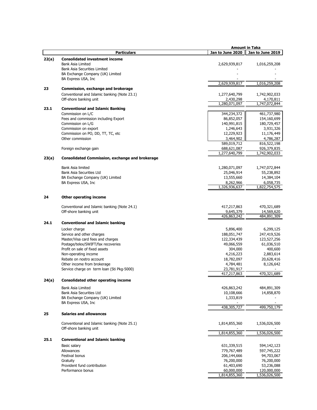|       |                                                        |                  | Amount in Taka   |
|-------|--------------------------------------------------------|------------------|------------------|
|       | <b>Particulars</b>                                     | Jan to June 2020 | Jan to June 2019 |
| 22(a) | <b>Consolidated investment income</b>                  |                  |                  |
|       | <b>Bank Asia Limited</b>                               | 2,629,939,817    | 1,016,259,208    |
|       | <b>Bank Asia Securities Limited</b>                    |                  |                  |
|       | BA Exchange Company (UK) Limited                       |                  |                  |
|       | BA Express USA, Inc                                    |                  |                  |
|       |                                                        | 2,629,939,817    | 1,016,259,208    |
| 23    | Commission, exchange and brokerage                     |                  |                  |
|       |                                                        |                  |                  |
|       | Conventional and Islamic banking (Note 23.1)           | 1,277,640,799    | 1,742,902,033    |
|       | Off-shore banking unit                                 | 2,430,298        | 4,170,811        |
|       |                                                        | 1,280,071,097    | 1,747,072,844    |
| 23.1  | <b>Conventional and Islamic Banking</b>                |                  |                  |
|       | Commission on L/C                                      | 344,234,372      | 461,737,980      |
|       | Fees and commission including Export                   | 86,852,057       | 154,160,699      |
|       | Commission on L/G                                      | 140,991,815      | 180,729,457      |
|       | Commission on export                                   | 1,246,643        | 3,931,326        |
|       | Commission on PO, DD, TT, TC, etc                      | 12,229,923       | 11,176,449       |
|       | Other commission                                       | 3,464,902        | 4,786,287        |
|       |                                                        | 589,019,712      | 816,522,198      |
|       | Foreign exchange gain                                  | 688,621,087      | 926,379,835      |
|       |                                                        | 1,277,640,799    | 1,742,902,033    |
| 23(a) | <b>Consolidated Commission, exchange and brokerage</b> |                  |                  |
|       |                                                        |                  |                  |
|       | Bank Asia limited                                      | 1,280,071,097    | 1,747,072,844    |
|       | Bank Asia Securities Ltd                               | 25,046,914       | 55,238,892       |
|       | BA Exchange Company (UK) Limited                       | 13,555,660       | 14,384,104       |
|       | BA Express USA, Inc                                    | 8,262,966        | 6,058,735        |
|       |                                                        | 1,326,936,637    | 1,822,754,575    |
|       |                                                        |                  |                  |
| 24    | <b>Other operating income</b>                          |                  |                  |
|       |                                                        |                  |                  |
|       | Conventional and Islamic banking (Note 24.1)           | 417,217,863      | 470,321,689      |
|       | Off-shore banking unit                                 | 9,645,379        | 14,569,620       |
|       |                                                        | 426,863,242      | 484,891,309      |
| 24.1  | <b>Conventional and Islamic banking</b>                |                  |                  |
|       | Locker charge                                          | 5,896,400        | 6,299,125        |
|       |                                                        |                  |                  |
|       | Service and other charges                              | 188,051,747      | 247,419,526      |
|       | Master/Visa card fees and charges                      | 122,334,439      | 123,527,256      |
|       | Postage/telex/SWIFT/fax recoveries                     | 49,066,559       | 61,036,510       |
|       | Profit on sale of fixed assets                         | 304,000          | 400,600          |
|       | Non-operating income                                   | 4,216,223        | 2,883,614        |
|       | Rebate on nostro account                               | 18,782,097       | 20,628,416       |
|       | Other income from brokerage                            | 4,784,481        | 8,126,642        |
|       | Service charge on term loan (Sti Pkg-5000)             | 23,781,917       |                  |
|       |                                                        | 417,217,863      | 470,321,689      |
| 24(a) | <b>Consolidated other operating income</b>             |                  |                  |
|       |                                                        |                  |                  |
|       | <b>Bank Asia Limited</b>                               | 426,863,242      | 484,891,309      |
|       | <b>Bank Asia Securities Ltd</b>                        | 10,108,666       | 14,858,870       |
|       | BA Exchange Company (UK) Limited                       | 1,333,819        |                  |
|       | BA Express USA, Inc                                    | 438,305,727      | 499,750,179      |
|       |                                                        |                  |                  |
| 25    | <b>Salaries and allowances</b>                         |                  |                  |
|       |                                                        |                  |                  |
|       | Conventional and Islamic banking (Note 25.1)           | 1,814,855,360    | 1,536,026,500    |
|       | Off-shore banking unit                                 |                  |                  |
|       |                                                        | 1,814,855,360    | 1,536,026,500    |
| 25.1  | <b>Conventional and Islamic banking</b>                |                  |                  |
|       | Basic salary                                           | 631,339,515      | 594,142,123      |
|       | Allowances                                             | 779,767,489      | 597,745,222      |
|       | Festival bonus                                         | 206,144,666      | 94,703,067       |
|       | Gratuity                                               | 76,200,000       | 76,200,000       |
|       | Provident fund contribution                            | 61,403,690       | 53,236,088       |
|       | Performance bonus                                      | 60,000,000       | 120,000,000      |
|       |                                                        | 1,814,855,360    | 1,536,026,500    |
|       |                                                        |                  |                  |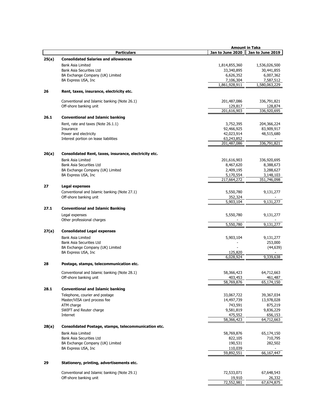|       |                                                       |                       | Amount in Taka        |
|-------|-------------------------------------------------------|-----------------------|-----------------------|
|       | <b>Particulars</b>                                    | Jan to June 2020      | Jan to June 2019      |
| 25(a) | <b>Consolidated Salaries and allowances</b>           |                       |                       |
|       | Bank Asia Limited                                     | 1,814,855,360         | 1,536,026,500         |
|       | Bank Asia Securities Ltd                              | 33,340,895            | 30,441,855            |
|       | BA Exchange Company (UK) Limited                      | 6,626,352             | 6,007,362             |
|       | BA Express USA, Inc                                   | 7,106,304             | 7,587,512             |
|       |                                                       | 1,861,928,911         | 1,580,063,229         |
| 26    | Rent, taxes, insurance, electricity etc.              |                       |                       |
|       | Conventional and Islamic banking (Note 26.1)          | 201,487,086           | 336,791,821           |
|       | Off-shore banking unit                                | 129,817               | 128,874               |
|       |                                                       | 201,616,903           | 336,920,695           |
| 26.1  | <b>Conventional and Islamic banking</b>               |                       |                       |
|       | Rent, rate and taxes (Note 26.1.1)                    | 3,752,395             | 204,366,224           |
|       | Insurance                                             | 92,466,925            | 83,909,917            |
|       | Power and electricity                                 | 42,023,914            | 48,515,680            |
|       | Interest portion on lease liabilities                 | 63,243,852            |                       |
|       |                                                       | 201,487,086           | 336,791,821           |
| 26(a) | Consolidated Rent, taxes, insurance, electricity etc. |                       |                       |
|       | <b>Bank Asia Limited</b>                              | 201,616,903           | 336,920,695           |
|       | <b>Bank Asia Securities Ltd</b>                       | 8,467,620             | 8,388,673             |
|       | BA Exchange Company (UK) Limited                      | 2,409,195             | 3,288,627             |
|       | BA Express USA, Inc.                                  | 5,170,554             | 3,148,103             |
|       |                                                       | 217,664,272           | 351,746,098           |
| 27    | <b>Legal expenses</b>                                 |                       |                       |
|       | Conventional and Islamic banking (Note 27.1)          | 5,550,780             | 9,131,277             |
|       | Off-shore banking unit                                | 352,324               |                       |
|       |                                                       | 5,903,104             | 9,131,277             |
| 27.1  | <b>Conventional and Islamic Banking</b>               |                       |                       |
|       | Legal expenses                                        | 5,550,780             | 9,131,277             |
|       | Other professional charges                            |                       |                       |
|       |                                                       | 5,550,780             | 9,131,277             |
| 27(a) | <b>Consolidated Legal expenses</b>                    |                       |                       |
|       |                                                       |                       |                       |
|       | Bank Asia Limited<br>Bank Asia Securities Ltd         | 5,903,104             | 9,131,277<br>253,000  |
|       | BA Exchange Company (UK) Limited                      |                       | (44, 639)             |
|       | BA Express USA, Inc.                                  | 125,820               |                       |
|       |                                                       | 6,028,924             | 9,339,638             |
| 28    | Postage, stamps, telecommunication etc.               |                       |                       |
|       |                                                       |                       |                       |
|       | Conventional and Islamic banking (Note 28.1)          | 58,366,423            | 64,712,663            |
|       | Off-shore banking unit                                | 403.453<br>58,769,876 | 461.487<br>65,174,150 |
|       |                                                       |                       |                       |
| 28.1  | <b>Conventional and Islamic banking</b>               |                       |                       |
|       | Telephone, courier and postage                        | 33,067,722            | 39,367,034            |
|       | Master/VISA card process fee                          | 14,497,739            | 13,978,028            |
|       | ATM charge                                            | 743,591               | 875,219               |
|       | SWIFT and Reuter charge                               | 9,581,819             | 9,836,229             |
|       | Internet                                              | 475,552<br>58,366,423 | 656,153<br>64,712,663 |
| 28(a) | Consolidated Postage, stamps, telecommunication etc.  |                       |                       |
|       |                                                       |                       |                       |
|       | Bank Asia Limited                                     | 58,769,876            | 65,174,150            |
|       | Bank Asia Securities Ltd                              | 822,105               | 710,795               |
|       | BA Exchange Company (UK) Limited                      | 190,531               | 282,502               |
|       | BA Express USA, Inc                                   | 110,039<br>59,892,551 | 66,167,447            |
|       |                                                       |                       |                       |
| 29    | Stationery, printing, advertisements etc.             |                       |                       |
|       | Conventional and Islamic banking (Note 29.1)          | 72,533,071            | 67,648,543            |
|       | Off-shore banking unit                                | 19,910                | 26,332                |
|       |                                                       | 72,552,981            | 67,674,875            |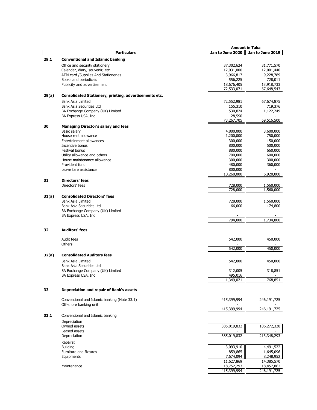|       |                                                        |                  | <b>Amount in Taka</b> |
|-------|--------------------------------------------------------|------------------|-----------------------|
|       | <b>Particulars</b>                                     | Jan to June 2020 | Jan to June 2019      |
| 29.1  | <b>Conventional and Islamic banking</b>                |                  |                       |
|       |                                                        |                  |                       |
|       | Office and security stationery                         | 37,302,624       | 31,771,570            |
|       | Calendar, diary, souvenir, etc                         | 12,031,000       | 12,001,440            |
|       | ATM card /Supplies And Stationeries                    | 3,966,817        | 9,228,789             |
|       | Books and periodicals                                  | 556,225          | 728,011               |
|       | Publicity and advertisement                            | 18,676,405       | 13,918,733            |
|       |                                                        | 72,533,071       | 67,648,543            |
| 29(a) | Consolidated Stationery, printing, advertisements etc. |                  |                       |
|       |                                                        |                  |                       |
|       | <b>Bank Asia Limited</b>                               | 72,552,981       | 67,674,875            |
|       | Bank Asia Securities Ltd                               | 155,310          | 719,376               |
|       | BA Exchange Company (UK) Limited                       | 530,824          | 1,122,249             |
|       | BA Express USA, Inc.                                   | 28,590           |                       |
|       |                                                        | 73,267,705       | 69,516,500            |
| 30    | <b>Managing Director's salary and fees</b>             |                  |                       |
|       | Basic salary                                           | 4,800,000        | 3,600,000             |
|       | House rent allowance                                   | 1,200,000        | 750,000               |
|       | Entertainment allowances                               | 300,000          | 150,000               |
|       | Incentive bonus                                        | 800,000          | 500,000               |
|       | <b>Festival bonus</b>                                  | 880,000          | 660,000               |
|       | Utility allowance and others                           | 700,000          | 600,000               |
|       |                                                        |                  |                       |
|       | House maintenance allowance                            | 300,000          | 300,000               |
|       | Provident fund                                         | 480,000          | 360,000               |
|       | Leave fare assistance                                  | 800,000          |                       |
|       |                                                        | 10,260,000       | 6,920,000             |
| 31    | <b>Directors' fees</b>                                 |                  |                       |
|       | Directors' fees                                        | 728,000          | 1,560,000             |
|       |                                                        | 728,000          | 1,560,000             |
|       |                                                        |                  |                       |
| 31(a) | <b>Consolidated Directors' fees</b>                    |                  |                       |
|       | <b>Bank Asia Limited</b>                               | 728,000          | 1,560,000             |
|       | Bank Asia Securities Ltd.                              | 66,000           | 174,800               |
|       | BA Exchange Company (UK) Limited                       |                  |                       |
|       | BA Express USA, Inc                                    |                  |                       |
|       |                                                        | 794,000          | 1,734,800             |
|       |                                                        |                  |                       |
| 32    | <b>Auditors' fees</b>                                  |                  |                       |
|       |                                                        |                  |                       |
|       | Audit fees                                             | 542,000          | 450,000               |
|       | Others                                                 |                  |                       |
|       |                                                        | 542,000          | 450,000               |
| 32(a) | <b>Consolidated Auditors fees</b>                      |                  |                       |
|       |                                                        |                  |                       |
|       | <b>Bank Asia Limited</b>                               | 542,000          | 450,000               |
|       | Bank Asia Securities Ltd                               |                  |                       |
|       | BA Exchange Company (UK) Limited                       | 312,005          | 318,851               |
|       | BA Express USA, Inc                                    | 495,016          |                       |
|       |                                                        | 1,349,021        | 768,851               |
|       |                                                        |                  |                       |
| 33    | Depreciation and repair of Bank's assets               |                  |                       |
|       |                                                        |                  |                       |
|       | Conventional and Islamic banking (Note 33.1)           | 415,399,994      | 246,191,725           |
|       | Off-shore banking unit                                 |                  |                       |
|       |                                                        | 415,399,994      | 246,191,725           |
|       |                                                        |                  |                       |
| 33.1  | Conventional and Islamic banking                       |                  |                       |
|       | Depreciation                                           |                  |                       |
|       | Owned assets                                           | 385,019,832      | 106,272,328           |
|       | Leased assets                                          |                  |                       |
|       | Depreciation                                           | 385,019,832      | 213,348,293           |
|       |                                                        |                  |                       |
|       | Repairs:                                               |                  |                       |
|       | <b>Building</b>                                        | 3,093,910        | 4,491,522             |
|       | Furniture and fixtures                                 | 859,865          | 1,645,096             |
|       | Equipments                                             | 7,674,094        | 8,248,952             |
|       |                                                        | 11,627,869       | 14,385,570            |
|       | Maintenance                                            | 18,752,293       | 18,457,862            |
|       |                                                        | 415,399,994      | 246,191,725           |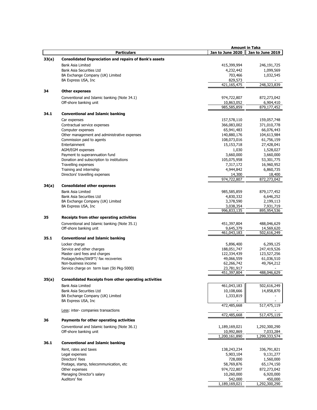|       |                                                               |                           | <b>Amount in Taka</b>      |
|-------|---------------------------------------------------------------|---------------------------|----------------------------|
|       | <b>Particulars</b>                                            | Jan to June 2020          | Jan to June 2019           |
| 33(a) | <b>Consolidated Depreciation and repairs of Bank's assets</b> |                           |                            |
|       |                                                               |                           |                            |
|       | Bank Asia Limited                                             | 415,399,994               | 246,191,725                |
|       | Bank Asia Securities Ltd                                      | 4,232,442                 | 1,099,569                  |
|       | BA Exchange Company (UK) Limited                              | 703,466                   | 1,032,545                  |
|       | BA Express USA, Inc                                           | 829,573<br>421,165,475    | 248,323,839                |
|       |                                                               |                           |                            |
| 34    | <b>Other expenses</b>                                         |                           |                            |
|       | Conventional and Islamic banking (Note 34.1)                  | 974,722,807               | 872,273,042                |
|       | Off-shore banking unit                                        | 10,863,052                | 6,904,410                  |
|       |                                                               | 985,585,859               | 879,177,452                |
| 34.1  | <b>Conventional and Islamic banking</b>                       |                           |                            |
|       | Car expenses                                                  | 157,578,110               | 159,057,748                |
|       | Contractual service expenses                                  | 366,083,002               | 371,010,778                |
|       | Computer expenses                                             | 65,941,483                | 66,076,443                 |
|       | Other management and administrative expenses                  | 140,880,176               | 104,613,984                |
|       | Commission paid to agents                                     | 108,073,016               | 61,756,159                 |
|       | Entertainment                                                 | 15,153,718                | 27,428,041                 |
|       | AGM/EGM expenses                                              | 1,030                     | 1,528,027                  |
|       | Payment to superannuation fund                                | 3,660,000                 | 3,660,000                  |
|       | Donation and subscription to institutions                     | 105,075,958               | 53,301,775                 |
|       | Travelling expenses                                           | 7,317,172                 | 16,960,952                 |
|       | Training and internship                                       | 4,944,842                 | 6,860,735                  |
|       | Directors' travelling expenses                                | 14,300                    | 18,400                     |
|       |                                                               | 974,722,807               | 872,273,042                |
|       |                                                               |                           |                            |
| 34(a) | <b>Consolidated other expenses</b>                            |                           |                            |
|       | <b>Bank Asia Limited</b>                                      | 985,585,859               | 879,177,452                |
|       | Bank Asia Securities Ltd                                      | 4,830,332                 | 6,646,252                  |
|       | BA Exchange Company (UK) Limited                              | 3,378,590                 | 2,199,113                  |
|       | BA Express USA, Inc                                           | 3,038,354                 | 7,931,719                  |
|       |                                                               | 996,833,135               | 895,954,536                |
| 35    | Receipts from other operating activities                      |                           |                            |
|       | Conventional and Islamic banking (Note 35.1)                  | 451,397,804               | 488,046,629                |
|       | Off-shore banking unit                                        | 9,645,379                 | 14,569,620                 |
|       |                                                               | 461,043,183               | 502,616,249                |
| 35.1  | <b>Conventional and Islamic banking</b>                       |                           |                            |
|       | Locker charge                                                 | 5,896,400                 | 6,299,125                  |
|       | Service and other charges                                     | 188,051,747               | 247,419,526                |
|       | Master card fees and charges                                  | 122,334,439               | 123,527,256                |
|       | Postage/telex/SWIFT/ fax recoveries                           | 49,066,559                | 61,036,510                 |
|       | Non-business income                                           | 62,266,742                | 49,764,212                 |
|       | Service charge on term loan (Sti Pkg-5000)                    | 23,781,917                |                            |
|       |                                                               | 451,397,804               | 488,046,629                |
| 35(a) | <b>Consolidated Receipts from other operating activities</b>  |                           |                            |
|       |                                                               |                           |                            |
|       | Bank Asia Limited<br>Bank Asia Securities Ltd                 | 461,043,183<br>10,108,666 | 502,616,249                |
|       |                                                               |                           | 14,858,870                 |
|       | BA Exchange Company (UK) Limited<br>BA Express USA, Inc       | 1,333,819                 | ٠                          |
|       |                                                               | 472,485,668               | 517,475,119                |
|       | Less: inter- companies transactions                           |                           |                            |
|       |                                                               | 472,485,668               | 517,475,119                |
| 36    | Payments for other operating activities                       |                           |                            |
|       |                                                               |                           |                            |
|       | Conventional and Islamic banking (Note 36.1)                  | 1,189,169,021             | 1,292,300,290              |
|       | Off-shore banking unit                                        | 10,992,869                | 7,033,284<br>1,299,333,574 |
|       |                                                               | 1,200,161,890             |                            |
| 36.1  | <b>Conventional and Islamic banking</b>                       |                           |                            |
|       | Rent, rates and taxes                                         | 138,243,234               | 336,791,821                |
|       | Legal expenses                                                | 5,903,104                 | 9,131,277                  |
|       | Directors' fees                                               | 728,000                   | 1,560,000                  |
|       | Postage, stamp, telecommunication, etc.                       | 58,769,876                | 65,174,150                 |
|       | Other expenses                                                | 974,722,807               | 872,273,042                |
|       | Managing Director's salary                                    | 10,260,000                | 6,920,000                  |
|       | Auditors' fee                                                 | 542,000                   | 450,000                    |
|       |                                                               | 1,189,169,021             | 1,292,300,290              |
|       |                                                               |                           |                            |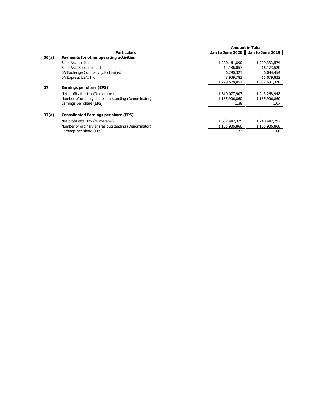|       |                                                     |                  | <b>Amount in Taka</b> |
|-------|-----------------------------------------------------|------------------|-----------------------|
|       | <b>Particulars</b>                                  | Jan to June 2020 | Jan to June 2019      |
| 36(a) | Payments for other operating activities             |                  |                       |
|       | Bank Asia Limited                                   | 1,200,161,890    | 1,299,333,574         |
|       | Bank Asia Securities Ltd                            | 14,186,057       | 16,173,520            |
|       | BA Exchange Company (UK) Limited                    | 6,290,321        | 6,044,454             |
|       | BA Express USA, Inc                                 | 8,939,783        | 11,079,822            |
|       |                                                     | 1,229,578,051    | 1,332,631,370         |
| 37    | Earnings per share (EPS)                            |                  |                       |
|       | Net profit after tax (Numerator)                    | 1,610,077,907    | 1,243,268,948         |
|       | Number of ordinary shares outstanding (Denominator) | 1,165,906,860    | 1,165,906,860         |
|       | Earnings per share (EPS)                            | 1.38             | 1.07                  |
| 37(a) | <b>Consolidated Earnings per share (EPS)</b>        |                  |                       |
|       | Net profit after tax (Numerator)                    | 1,602,442,375    | 1,240,442,797         |
|       | Number of ordinary shares outstanding (Denominator) | 1,165,906,860    | 1,165,906,860         |
|       | Earnings per share (EPS)                            | 1.37             | 1.06                  |
|       |                                                     |                  |                       |